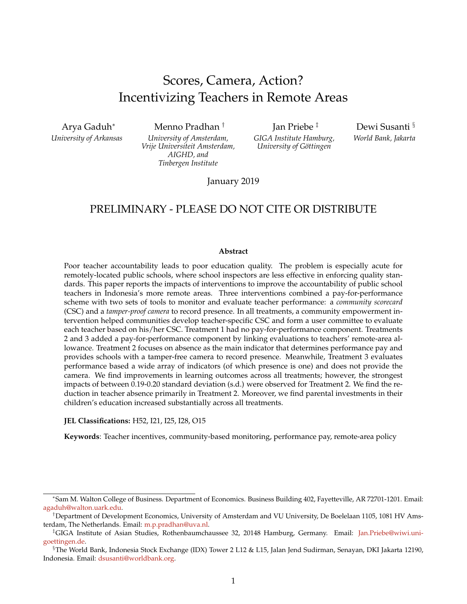# Scores, Camera, Action? Incentivizing Teachers in Remote Areas

Arya Gaduh<sup>∗</sup> *University of Arkansas*

Menno Pradhan † *University of Amsterdam,*

*Vrije Universiteit Amsterdam, AIGHD, and*

Jan Priebe ‡

*GIGA Institute Hamburg, University of Göttingen* 

Dewi Susanti § *World Bank, Jakarta*

*Tinbergen Institute* January 2019

# PRELIMINARY - PLEASE DO NOT CITE OR DISTRIBUTE

#### **Abstract**

Poor teacher accountability leads to poor education quality. The problem is especially acute for remotely-located public schools, where school inspectors are less effective in enforcing quality standards. This paper reports the impacts of interventions to improve the accountability of public school teachers in Indonesia's more remote areas. Three interventions combined a pay-for-performance scheme with two sets of tools to monitor and evaluate teacher performance: a *community scorecard* (CSC) and a *tamper-proof camera* to record presence. In all treatments, a community empowerment intervention helped communities develop teacher-specific CSC and form a user committee to evaluate each teacher based on his/her CSC. Treatment 1 had no pay-for-performance component. Treatments 2 and 3 added a pay-for-performance component by linking evaluations to teachers' remote-area allowance. Treatment 2 focuses on absence as the main indicator that determines performance pay and provides schools with a tamper-free camera to record presence. Meanwhile, Treatment 3 evaluates performance based a wide array of indicators (of which presence is one) and does not provide the camera. We find improvements in learning outcomes across all treatments; however, the strongest impacts of between 0.19-0.20 standard deviation (s.d.) were observed for Treatment 2. We find the reduction in teacher absence primarily in Treatment 2. Moreover, we find parental investments in their children's education increased substantially across all treatments.

**JEL Classifications:** H52, I21, I25, I28, O15

**Keywords**: Teacher incentives, community-based monitoring, performance pay, remote-area policy

<sup>∗</sup> Sam M. Walton College of Business. Department of Economics. Business Building 402, Fayetteville, AR 72701-1201. Email: [agaduh@walton.uark.edu.](mailto:agaduh@walton.uark.edu)

<sup>†</sup>Department of Development Economics, University of Amsterdam and VU University, De Boelelaan 1105, 1081 HV Amsterdam, The Netherlands. Email: [m.p.pradhan@uva.nl.](mailto:m.p.pradhan@uva.nl)

<sup>‡</sup>GIGA Institute of Asian Studies, Rothenbaumchaussee 32, 20148 Hamburg, Germany. Email: [Jan.Priebe@wiwi.uni](mailto:Jan.Priebe@wiwi.uni-goettingen.de)[goettingen.de.](mailto:Jan.Priebe@wiwi.uni-goettingen.de)

<sup>§</sup>The World Bank, Indonesia Stock Exchange (IDX) Tower 2 L12 & L15, Jalan Jend Sudirman, Senayan, DKI Jakarta 12190, Indonesia. Email: [dsusanti@worldbank.org.](mailto:dsusanti@worldbank.org)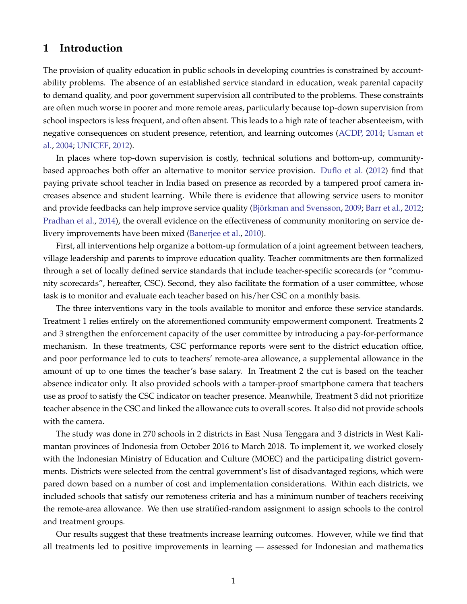## **1 Introduction**

The provision of quality education in public schools in developing countries is constrained by accountability problems. The absence of an established service standard in education, weak parental capacity to demand quality, and poor government supervision all contributed to the problems. These constraints are often much worse in poorer and more remote areas, particularly because top-down supervision from school inspectors is less frequent, and often absent. This leads to a high rate of teacher absenteeism, with negative consequences on student presence, retention, and learning outcomes [\(ACDP, 2014;](#page-16-0) [Usman et](#page-17-0) [al.,](#page-17-0) [2004;](#page-17-0) [UNICEF,](#page-17-1) [2012\)](#page-17-1).

In places where top-down supervision is costly, technical solutions and bottom-up, communitybased approaches both offer an alternative to monitor service provision. [Duflo et al.](#page-16-1) [\(2012\)](#page-16-1) find that paying private school teacher in India based on presence as recorded by a tampered proof camera increases absence and student learning. While there is evidence that allowing service users to monitor and provide feedbacks can help improve service quality (Björkman and Svensson, [2009;](#page-16-2) [Barr et al.,](#page-16-3) [2012;](#page-16-3) [Pradhan et al.,](#page-17-2) [2014\)](#page-17-2), the overall evidence on the effectiveness of community monitoring on service delivery improvements have been mixed [\(Banerjee et al.,](#page-16-4) [2010\)](#page-16-4).

First, all interventions help organize a bottom-up formulation of a joint agreement between teachers, village leadership and parents to improve education quality. Teacher commitments are then formalized through a set of locally defined service standards that include teacher-specific scorecards (or "community scorecards", hereafter, CSC). Second, they also facilitate the formation of a user committee, whose task is to monitor and evaluate each teacher based on his/her CSC on a monthly basis.

The three interventions vary in the tools available to monitor and enforce these service standards. Treatment 1 relies entirely on the aforementioned community empowerment component. Treatments 2 and 3 strengthen the enforcement capacity of the user committee by introducing a pay-for-performance mechanism. In these treatments, CSC performance reports were sent to the district education office, and poor performance led to cuts to teachers' remote-area allowance, a supplemental allowance in the amount of up to one times the teacher's base salary. In Treatment 2 the cut is based on the teacher absence indicator only. It also provided schools with a tamper-proof smartphone camera that teachers use as proof to satisfy the CSC indicator on teacher presence. Meanwhile, Treatment 3 did not prioritize teacher absence in the CSC and linked the allowance cuts to overall scores. It also did not provide schools with the camera.

The study was done in 270 schools in 2 districts in East Nusa Tenggara and 3 districts in West Kalimantan provinces of Indonesia from October 2016 to March 2018. To implement it, we worked closely with the Indonesian Ministry of Education and Culture (MOEC) and the participating district governments. Districts were selected from the central government's list of disadvantaged regions, which were pared down based on a number of cost and implementation considerations. Within each districts, we included schools that satisfy our remoteness criteria and has a minimum number of teachers receiving the remote-area allowance. We then use stratified-random assignment to assign schools to the control and treatment groups.

Our results suggest that these treatments increase learning outcomes. However, while we find that all treatments led to positive improvements in learning — assessed for Indonesian and mathematics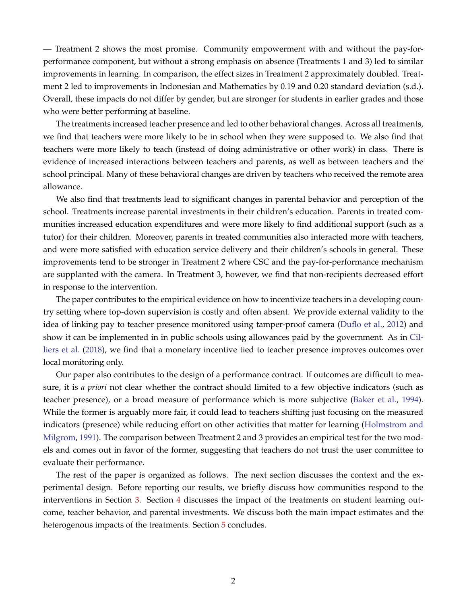— Treatment 2 shows the most promise. Community empowerment with and without the pay-forperformance component, but without a strong emphasis on absence (Treatments 1 and 3) led to similar improvements in learning. In comparison, the effect sizes in Treatment 2 approximately doubled. Treatment 2 led to improvements in Indonesian and Mathematics by 0.19 and 0.20 standard deviation (s.d.). Overall, these impacts do not differ by gender, but are stronger for students in earlier grades and those who were better performing at baseline.

The treatments increased teacher presence and led to other behavioral changes. Across all treatments, we find that teachers were more likely to be in school when they were supposed to. We also find that teachers were more likely to teach (instead of doing administrative or other work) in class. There is evidence of increased interactions between teachers and parents, as well as between teachers and the school principal. Many of these behavioral changes are driven by teachers who received the remote area allowance.

We also find that treatments lead to significant changes in parental behavior and perception of the school. Treatments increase parental investments in their children's education. Parents in treated communities increased education expenditures and were more likely to find additional support (such as a tutor) for their children. Moreover, parents in treated communities also interacted more with teachers, and were more satisfied with education service delivery and their children's schools in general. These improvements tend to be stronger in Treatment 2 where CSC and the pay-for-performance mechanism are supplanted with the camera. In Treatment 3, however, we find that non-recipients decreased effort in response to the intervention.

The paper contributes to the empirical evidence on how to incentivize teachers in a developing country setting where top-down supervision is costly and often absent. We provide external validity to the idea of linking pay to teacher presence monitored using tamper-proof camera [\(Duflo et al.,](#page-16-1) [2012\)](#page-16-1) and show it can be implemented in in public schools using allowances paid by the government. As in [Cil](#page-16-5)[liers et al.](#page-16-5) [\(2018\)](#page-16-5), we find that a monetary incentive tied to teacher presence improves outcomes over local monitoring only.

Our paper also contributes to the design of a performance contract. If outcomes are difficult to measure, it is *a priori* not clear whether the contract should limited to a few objective indicators (such as teacher presence), or a broad measure of performance which is more subjective [\(Baker et al.,](#page-16-6) [1994\)](#page-16-6). While the former is arguably more fair, it could lead to teachers shifting just focusing on the measured indicators (presence) while reducing effort on other activities that matter for learning [\(Holmstrom and](#page-16-7) [Milgrom,](#page-16-7) [1991\)](#page-16-7). The comparison between Treatment 2 and 3 provides an empirical test for the two models and comes out in favor of the former, suggesting that teachers do not trust the user committee to evaluate their performance.

The rest of the paper is organized as follows. The next section discusses the context and the experimental design. Before reporting our results, we briefly discuss how communities respond to the interventions in Section [3.](#page-10-0) Section [4](#page-12-0) discusses the impact of the treatments on student learning outcome, teacher behavior, and parental investments. We discuss both the main impact estimates and the heterogenous impacts of the treatments. Section [5](#page-15-0) concludes.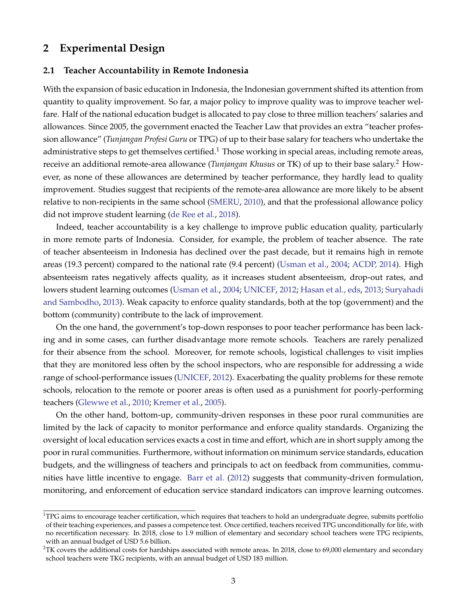## **2 Experimental Design**

#### **2.1 Teacher Accountability in Remote Indonesia**

With the expansion of basic education in Indonesia, the Indonesian government shifted its attention from quantity to quality improvement. So far, a major policy to improve quality was to improve teacher welfare. Half of the national education budget is allocated to pay close to three million teachers' salaries and allowances. Since 2005, the government enacted the Teacher Law that provides an extra "teacher profession allowance" (*Tunjangan Profesi Guru* or TPG) of up to their base salary for teachers who undertake the administrative steps to get themselves certified.<sup>1</sup> Those working in special areas, including remote areas, receive an additional remote-area allowance (*Tunjangan Khusus* or TK) of up to their base salary.<sup>2</sup> However, as none of these allowances are determined by teacher performance, they hardly lead to quality improvement. Studies suggest that recipients of the remote-area allowance are more likely to be absent relative to non-recipients in the same school [\(SMERU,](#page-17-3) [2010\)](#page-17-3), and that the professional allowance policy did not improve student learning [\(de Ree et al.,](#page-16-8) [2018\)](#page-16-8).

Indeed, teacher accountability is a key challenge to improve public education quality, particularly in more remote parts of Indonesia. Consider, for example, the problem of teacher absence. The rate of teacher absenteeism in Indonesia has declined over the past decade, but it remains high in remote areas (19.3 percent) compared to the national rate (9.4 percent) [\(Usman et al.,](#page-17-0) [2004;](#page-17-0) [ACDP, 2014\)](#page-16-0). High absenteeism rates negatively affects quality, as it increases student absenteeism, drop-out rates, and lowers student learning outcomes [\(Usman et al.,](#page-17-0) [2004;](#page-17-0) [UNICEF,](#page-17-1) [2012;](#page-17-1) [Hasan et al., eds,](#page-16-9) [2013;](#page-16-9) [Suryahadi](#page-17-4) [and Sambodho,](#page-17-4) [2013\)](#page-17-4). Weak capacity to enforce quality standards, both at the top (government) and the bottom (community) contribute to the lack of improvement.

On the one hand, the government's top-down responses to poor teacher performance has been lacking and in some cases, can further disadvantage more remote schools. Teachers are rarely penalized for their absence from the school. Moreover, for remote schools, logistical challenges to visit implies that they are monitored less often by the school inspectors, who are responsible for addressing a wide range of school-performance issues [\(UNICEF,](#page-17-1) [2012\)](#page-17-1). Exacerbating the quality problems for these remote schools, relocation to the remote or poorer areas is often used as a punishment for poorly-performing teachers [\(Glewwe et al.,](#page-16-10) [2010;](#page-16-10) [Kremer et al.,](#page-17-5) [2005\)](#page-17-5).

On the other hand, bottom-up, community-driven responses in these poor rural communities are limited by the lack of capacity to monitor performance and enforce quality standards. Organizing the oversight of local education services exacts a cost in time and effort, which are in short supply among the poor in rural communities. Furthermore, without information on minimum service standards, education budgets, and the willingness of teachers and principals to act on feedback from communities, communities have little incentive to engage. [Barr et al.](#page-16-3) [\(2012\)](#page-16-3) suggests that community-driven formulation, monitoring, and enforcement of education service standard indicators can improve learning outcomes.

 $1$ TPG aims to encourage teacher certification, which requires that teachers to hold an undergraduate degree, submits portfolio of their teaching experiences, and passes a competence test. Once certified, teachers received TPG unconditionally for life, with no recertification necessary. In 2018, close to 1.9 million of elementary and secondary school teachers were TPG recipients, with an annual budget of USD 5.6 billion.

 $2$ TK covers the additional costs for hardships associated with remote areas. In 2018, close to 69,000 elementary and secondary school teachers were TKG recipients, with an annual budget of USD 183 million.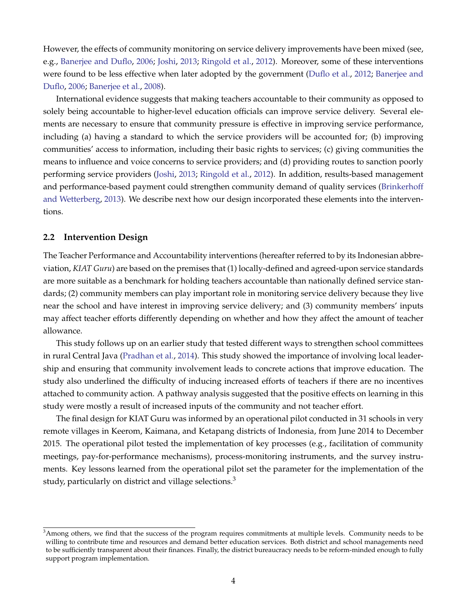However, the effects of community monitoring on service delivery improvements have been mixed (see, e.g., [Banerjee and Duflo,](#page-16-11) [2006;](#page-16-11) [Joshi,](#page-17-6) [2013;](#page-17-6) [Ringold et al.,](#page-17-7) [2012\)](#page-17-7). Moreover, some of these interventions were found to be less effective when later adopted by the government [\(Duflo et al.,](#page-16-1) [2012;](#page-16-1) [Banerjee and](#page-16-11) [Duflo,](#page-16-11) [2006;](#page-16-11) [Banerjee et al.,](#page-16-12) [2008\)](#page-16-12).

International evidence suggests that making teachers accountable to their community as opposed to solely being accountable to higher-level education officials can improve service delivery. Several elements are necessary to ensure that community pressure is effective in improving service performance, including (a) having a standard to which the service providers will be accounted for; (b) improving communities' access to information, including their basic rights to services; (c) giving communities the means to influence and voice concerns to service providers; and (d) providing routes to sanction poorly performing service providers [\(Joshi,](#page-17-6) [2013;](#page-17-6) [Ringold et al.,](#page-17-7) [2012\)](#page-17-7). In addition, results-based management and performance-based payment could strengthen community demand of quality services [\(Brinkerhoff](#page-16-13) [and Wetterberg,](#page-16-13) [2013\)](#page-16-13). We describe next how our design incorporated these elements into the interventions.

### **2.2 Intervention Design**

The Teacher Performance and Accountability interventions (hereafter referred to by its Indonesian abbreviation, *KIAT Guru*) are based on the premises that (1) locally-defined and agreed-upon service standards are more suitable as a benchmark for holding teachers accountable than nationally defined service standards; (2) community members can play important role in monitoring service delivery because they live near the school and have interest in improving service delivery; and (3) community members' inputs may affect teacher efforts differently depending on whether and how they affect the amount of teacher allowance.

This study follows up on an earlier study that tested different ways to strengthen school committees in rural Central Java [\(Pradhan et al.,](#page-17-2) [2014\)](#page-17-2). This study showed the importance of involving local leadership and ensuring that community involvement leads to concrete actions that improve education. The study also underlined the difficulty of inducing increased efforts of teachers if there are no incentives attached to community action. A pathway analysis suggested that the positive effects on learning in this study were mostly a result of increased inputs of the community and not teacher effort.

The final design for KIAT Guru was informed by an operational pilot conducted in 31 schools in very remote villages in Keerom, Kaimana, and Ketapang districts of Indonesia, from June 2014 to December 2015. The operational pilot tested the implementation of key processes (e.g., facilitation of community meetings, pay-for-performance mechanisms), process-monitoring instruments, and the survey instruments. Key lessons learned from the operational pilot set the parameter for the implementation of the study, particularly on district and village selections.<sup>3</sup>

<sup>&</sup>lt;sup>3</sup>Among others, we find that the success of the program requires commitments at multiple levels. Community needs to be willing to contribute time and resources and demand better education services. Both district and school managements need to be sufficiently transparent about their finances. Finally, the district bureaucracy needs to be reform-minded enough to fully support program implementation.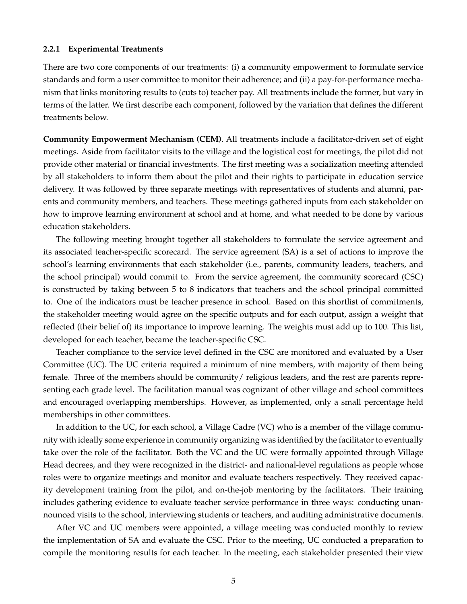#### **2.2.1 Experimental Treatments**

There are two core components of our treatments: (i) a community empowerment to formulate service standards and form a user committee to monitor their adherence; and (ii) a pay-for-performance mechanism that links monitoring results to (cuts to) teacher pay. All treatments include the former, but vary in terms of the latter. We first describe each component, followed by the variation that defines the different treatments below.

**Community Empowerment Mechanism (CEM)**. All treatments include a facilitator-driven set of eight meetings. Aside from facilitator visits to the village and the logistical cost for meetings, the pilot did not provide other material or financial investments. The first meeting was a socialization meeting attended by all stakeholders to inform them about the pilot and their rights to participate in education service delivery. It was followed by three separate meetings with representatives of students and alumni, parents and community members, and teachers. These meetings gathered inputs from each stakeholder on how to improve learning environment at school and at home, and what needed to be done by various education stakeholders.

The following meeting brought together all stakeholders to formulate the service agreement and its associated teacher-specific scorecard. The service agreement (SA) is a set of actions to improve the school's learning environments that each stakeholder (i.e., parents, community leaders, teachers, and the school principal) would commit to. From the service agreement, the community scorecard (CSC) is constructed by taking between 5 to 8 indicators that teachers and the school principal committed to. One of the indicators must be teacher presence in school. Based on this shortlist of commitments, the stakeholder meeting would agree on the specific outputs and for each output, assign a weight that reflected (their belief of) its importance to improve learning. The weights must add up to 100. This list, developed for each teacher, became the teacher-specific CSC.

Teacher compliance to the service level defined in the CSC are monitored and evaluated by a User Committee (UC). The UC criteria required a minimum of nine members, with majority of them being female. Three of the members should be community/ religious leaders, and the rest are parents representing each grade level. The facilitation manual was cognizant of other village and school committees and encouraged overlapping memberships. However, as implemented, only a small percentage held memberships in other committees.

In addition to the UC, for each school, a Village Cadre (VC) who is a member of the village community with ideally some experience in community organizing was identified by the facilitator to eventually take over the role of the facilitator. Both the VC and the UC were formally appointed through Village Head decrees, and they were recognized in the district- and national-level regulations as people whose roles were to organize meetings and monitor and evaluate teachers respectively. They received capacity development training from the pilot, and on-the-job mentoring by the facilitators. Their training includes gathering evidence to evaluate teacher service performance in three ways: conducting unannounced visits to the school, interviewing students or teachers, and auditing administrative documents.

After VC and UC members were appointed, a village meeting was conducted monthly to review the implementation of SA and evaluate the CSC. Prior to the meeting, UC conducted a preparation to compile the monitoring results for each teacher. In the meeting, each stakeholder presented their view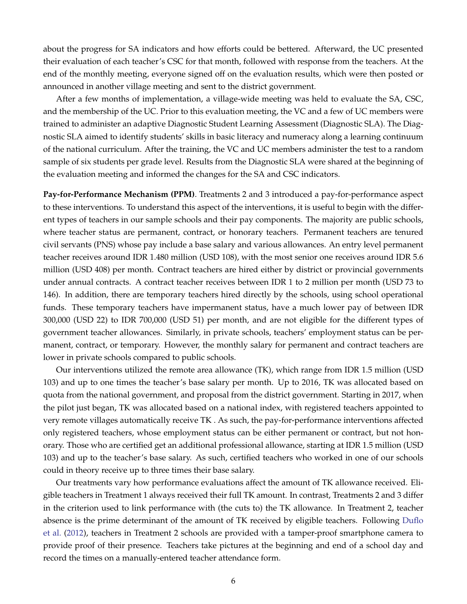about the progress for SA indicators and how efforts could be bettered. Afterward, the UC presented their evaluation of each teacher's CSC for that month, followed with response from the teachers. At the end of the monthly meeting, everyone signed off on the evaluation results, which were then posted or announced in another village meeting and sent to the district government.

After a few months of implementation, a village-wide meeting was held to evaluate the SA, CSC, and the membership of the UC. Prior to this evaluation meeting, the VC and a few of UC members were trained to administer an adaptive Diagnostic Student Learning Assessment (Diagnostic SLA). The Diagnostic SLA aimed to identify students' skills in basic literacy and numeracy along a learning continuum of the national curriculum. After the training, the VC and UC members administer the test to a random sample of six students per grade level. Results from the Diagnostic SLA were shared at the beginning of the evaluation meeting and informed the changes for the SA and CSC indicators.

**Pay-for-Performance Mechanism (PPM)**. Treatments 2 and 3 introduced a pay-for-performance aspect to these interventions. To understand this aspect of the interventions, it is useful to begin with the different types of teachers in our sample schools and their pay components. The majority are public schools, where teacher status are permanent, contract, or honorary teachers. Permanent teachers are tenured civil servants (PNS) whose pay include a base salary and various allowances. An entry level permanent teacher receives around IDR 1.480 million (USD 108), with the most senior one receives around IDR 5.6 million (USD 408) per month. Contract teachers are hired either by district or provincial governments under annual contracts. A contract teacher receives between IDR 1 to 2 million per month (USD 73 to 146). In addition, there are temporary teachers hired directly by the schools, using school operational funds. These temporary teachers have impermanent status, have a much lower pay of between IDR 300,000 (USD 22) to IDR 700,000 (USD 51) per month, and are not eligible for the different types of government teacher allowances. Similarly, in private schools, teachers' employment status can be permanent, contract, or temporary. However, the monthly salary for permanent and contract teachers are lower in private schools compared to public schools.

Our interventions utilized the remote area allowance (TK), which range from IDR 1.5 million (USD 103) and up to one times the teacher's base salary per month. Up to 2016, TK was allocated based on quota from the national government, and proposal from the district government. Starting in 2017, when the pilot just began, TK was allocated based on a national index, with registered teachers appointed to very remote villages automatically receive TK . As such, the pay-for-performance interventions affected only registered teachers, whose employment status can be either permanent or contract, but not honorary. Those who are certified get an additional professional allowance, starting at IDR 1.5 million (USD 103) and up to the teacher's base salary. As such, certified teachers who worked in one of our schools could in theory receive up to three times their base salary.

Our treatments vary how performance evaluations affect the amount of TK allowance received. Eligible teachers in Treatment 1 always received their full TK amount. In contrast, Treatments 2 and 3 differ in the criterion used to link performance with (the cuts to) the TK allowance. In Treatment 2, teacher absence is the prime determinant of the amount of TK received by eligible teachers. Following [Duflo](#page-16-1) [et al.](#page-16-1) [\(2012\)](#page-16-1), teachers in Treatment 2 schools are provided with a tamper-proof smartphone camera to provide proof of their presence. Teachers take pictures at the beginning and end of a school day and record the times on a manually-entered teacher attendance form.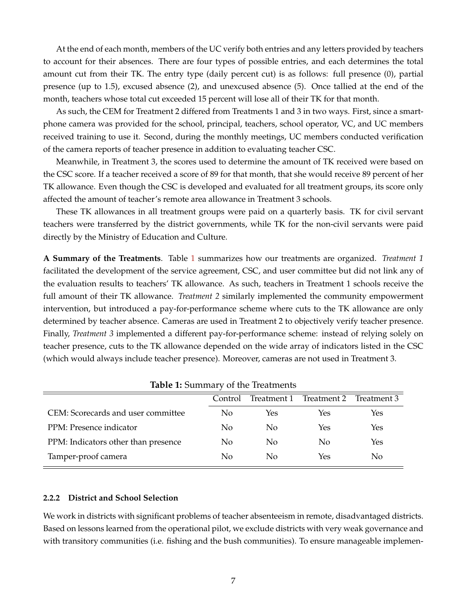At the end of each month, members of the UC verify both entries and any letters provided by teachers to account for their absences. There are four types of possible entries, and each determines the total amount cut from their TK. The entry type (daily percent cut) is as follows: full presence (0), partial presence (up to 1.5), excused absence (2), and unexcused absence (5). Once tallied at the end of the month, teachers whose total cut exceeded 15 percent will lose all of their TK for that month.

As such, the CEM for Treatment 2 differed from Treatments 1 and 3 in two ways. First, since a smartphone camera was provided for the school, principal, teachers, school operator, VC, and UC members received training to use it. Second, during the monthly meetings, UC members conducted verification of the camera reports of teacher presence in addition to evaluating teacher CSC.

Meanwhile, in Treatment 3, the scores used to determine the amount of TK received were based on the CSC score. If a teacher received a score of 89 for that month, that she would receive 89 percent of her TK allowance. Even though the CSC is developed and evaluated for all treatment groups, its score only affected the amount of teacher's remote area allowance in Treatment 3 schools.

These TK allowances in all treatment groups were paid on a quarterly basis. TK for civil servant teachers were transferred by the district governments, while TK for the non-civil servants were paid directly by the Ministry of Education and Culture.

**A Summary of the Treatments**. Table [1](#page-7-0) summarizes how our treatments are organized. *Treatment 1* facilitated the development of the service agreement, CSC, and user committee but did not link any of the evaluation results to teachers' TK allowance. As such, teachers in Treatment 1 schools receive the full amount of their TK allowance. *Treatment 2* similarly implemented the community empowerment intervention, but introduced a pay-for-performance scheme where cuts to the TK allowance are only determined by teacher absence. Cameras are used in Treatment 2 to objectively verify teacher presence. Finally, *Treatment 3* implemented a different pay-for-performance scheme: instead of relying solely on teacher presence, cuts to the TK allowance depended on the wide array of indicators listed in the CSC (which would always include teacher presence). Moreover, cameras are not used in Treatment 3.

<span id="page-7-0"></span>

|                                     | Control | Treatment 1    | Treatment 2 | Treatment 3 |  |  |  |  |  |
|-------------------------------------|---------|----------------|-------------|-------------|--|--|--|--|--|
| CEM: Scorecards and user committee  | No      | Yes            | Yes         | Yes         |  |  |  |  |  |
| PPM: Presence indicator             | No      | N <sub>0</sub> | Yes         | Yes         |  |  |  |  |  |
| PPM: Indicators other than presence | No      | N <sub>0</sub> | No          | Yes         |  |  |  |  |  |
| Tamper-proof camera                 | No      | N <sub>0</sub> | Yes         | No          |  |  |  |  |  |

**Table 1:** Summary of the Treatments

## **2.2.2 District and School Selection**

We work in districts with significant problems of teacher absenteeism in remote, disadvantaged districts. Based on lessons learned from the operational pilot, we exclude districts with very weak governance and with transitory communities (i.e. fishing and the bush communities). To ensure manageable implemen-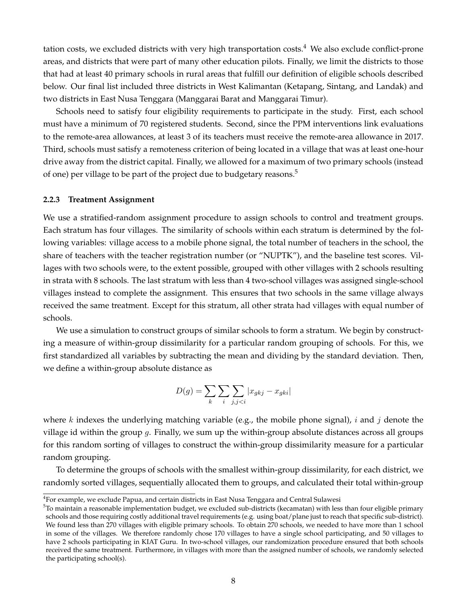tation costs, we excluded districts with very high transportation costs.<sup>4</sup> We also exclude conflict-prone areas, and districts that were part of many other education pilots. Finally, we limit the districts to those that had at least 40 primary schools in rural areas that fulfill our definition of eligible schools described below. Our final list included three districts in West Kalimantan (Ketapang, Sintang, and Landak) and two districts in East Nusa Tenggara (Manggarai Barat and Manggarai Timur).

Schools need to satisfy four eligibility requirements to participate in the study. First, each school must have a minimum of 70 registered students. Second, since the PPM interventions link evaluations to the remote-area allowances, at least 3 of its teachers must receive the remote-area allowance in 2017. Third, schools must satisfy a remoteness criterion of being located in a village that was at least one-hour drive away from the district capital. Finally, we allowed for a maximum of two primary schools (instead of one) per village to be part of the project due to budgetary reasons.<sup>5</sup>

#### **2.2.3 Treatment Assignment**

We use a stratified-random assignment procedure to assign schools to control and treatment groups. Each stratum has four villages. The similarity of schools within each stratum is determined by the following variables: village access to a mobile phone signal, the total number of teachers in the school, the share of teachers with the teacher registration number (or "NUPTK"), and the baseline test scores. Villages with two schools were, to the extent possible, grouped with other villages with 2 schools resulting in strata with 8 schools. The last stratum with less than 4 two-school villages was assigned single-school villages instead to complete the assignment. This ensures that two schools in the same village always received the same treatment. Except for this stratum, all other strata had villages with equal number of schools.

We use a simulation to construct groups of similar schools to form a stratum. We begin by constructing a measure of within-group dissimilarity for a particular random grouping of schools. For this, we first standardized all variables by subtracting the mean and dividing by the standard deviation. Then, we define a within-group absolute distance as

$$
D(g) = \sum_{k} \sum_{i} \sum_{j,j
$$

where  $k$  indexes the underlying matching variable (e.g., the mobile phone signal),  $i$  and  $j$  denote the village id within the group  $g$ . Finally, we sum up the within-group absolute distances across all groups for this random sorting of villages to construct the within-group dissimilarity measure for a particular random grouping.

To determine the groups of schools with the smallest within-group dissimilarity, for each district, we randomly sorted villages, sequentially allocated them to groups, and calculated their total within-group

<sup>4</sup> For example, we exclude Papua, and certain districts in East Nusa Tenggara and Central Sulawesi

 $5$ To maintain a reasonable implementation budget, we excluded sub-districts (kecamatan) with less than four eligible primary schools and those requiring costly additional travel requirements (e.g. using boat/plane just to reach that specific sub-district). We found less than 270 villages with eligible primary schools. To obtain 270 schools, we needed to have more than 1 school in some of the villages. We therefore randomly chose 170 villages to have a single school participating, and 50 villages to have 2 schools participating in KIAT Guru. In two-school villages, our randomization procedure ensured that both schools received the same treatment. Furthermore, in villages with more than the assigned number of schools, we randomly selected the participating school(s).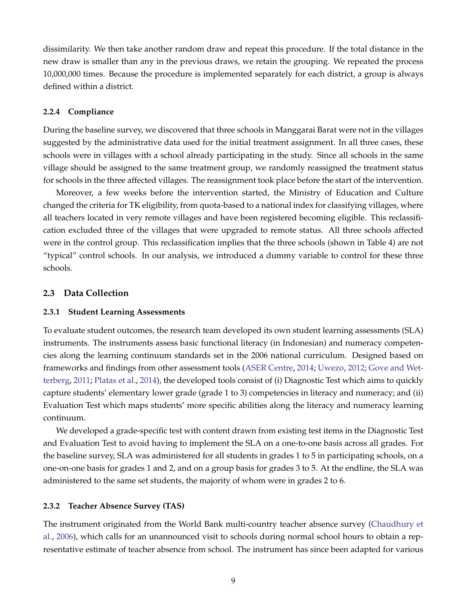dissimilarity. We then take another random draw and repeat this procedure. If the total distance in the new draw is smaller than any in the previous draws, we retain the grouping. We repeated the process 10,000,000 times. Because the procedure is implemented separately for each district, a group is always defined within a district.

## <span id="page-9-0"></span>**2.2.4 Compliance**

During the baseline survey, we discovered that three schools in Manggarai Barat were not in the villages suggested by the administrative data used for the initial treatment assignment. In all three cases, these schools were in villages with a school already participating in the study. Since all schools in the same village should be assigned to the same treatment group, we randomly reassigned the treatment status for schools in the three affected villages. The reassignment took place before the start of the intervention.

Moreover, a few weeks before the intervention started, the Ministry of Education and Culture changed the criteria for TK eligibility, from quota-based to a national index for classifying villages, where all teachers located in very remote villages and have been registered becoming eligible. This reclassification excluded three of the villages that were upgraded to remote status. All three schools affected were in the control group. This reclassification implies that the three schools (shown in Table 4) are not "typical" control schools. In our analysis, we introduced a dummy variable to control for these three schools.

## **2.3 Data Collection**

### **2.3.1 Student Learning Assessments**

To evaluate student outcomes, the research team developed its own student learning assessments (SLA) instruments. The instruments assess basic functional literacy (in Indonesian) and numeracy competencies along the learning continuum standards set in the 2006 national curriculum. Designed based on frameworks and findings from other assessment tools [\(ASER Centre,](#page-16-14) [2014;](#page-16-14) [Uwezo,](#page-17-8) [2012;](#page-17-8) [Gove and Wet](#page-16-15)[terberg,](#page-16-15) [2011;](#page-16-15) [Platas et al.,](#page-17-9) [2014\)](#page-17-9), the developed tools consist of (i) Diagnostic Test which aims to quickly capture students' elementary lower grade (grade 1 to 3) competencies in literacy and numeracy; and (ii) Evaluation Test which maps students' more specific abilities along the literacy and numeracy learning continuum.

We developed a grade-specific test with content drawn from existing test items in the Diagnostic Test and Evaluation Test to avoid having to implement the SLA on a one-to-one basis across all grades. For the baseline survey, SLA was administered for all students in grades 1 to 5 in participating schools, on a one-on-one basis for grades 1 and 2, and on a group basis for grades 3 to 5. At the endline, the SLA was administered to the same set students, the majority of whom were in grades 2 to 6.

#### **2.3.2 Teacher Absence Survey (TAS)**

The instrument originated from the World Bank multi-country teacher absence survey [\(Chaudhury et](#page-16-16) [al.,](#page-16-16) [2006\)](#page-16-16), which calls for an unannounced visit to schools during normal school hours to obtain a representative estimate of teacher absence from school. The instrument has since been adapted for various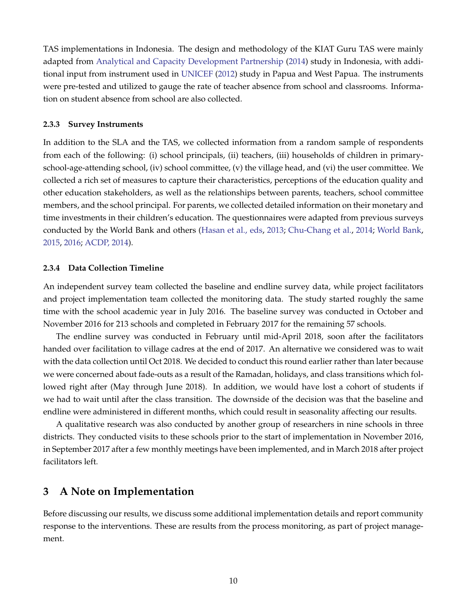TAS implementations in Indonesia. The design and methodology of the KIAT Guru TAS were mainly adapted from [Analytical and Capacity Development Partnership](#page-16-0) [\(2014\)](#page-16-0) study in Indonesia, with additional input from instrument used in [UNICEF](#page-17-1) [\(2012\)](#page-17-1) study in Papua and West Papua. The instruments were pre-tested and utilized to gauge the rate of teacher absence from school and classrooms. Information on student absence from school are also collected.

#### **2.3.3 Survey Instruments**

In addition to the SLA and the TAS, we collected information from a random sample of respondents from each of the following: (i) school principals, (ii) teachers, (iii) households of children in primaryschool-age-attending school, (iv) school committee, (v) the village head, and (vi) the user committee. We collected a rich set of measures to capture their characteristics, perceptions of the education quality and other education stakeholders, as well as the relationships between parents, teachers, school committee members, and the school principal. For parents, we collected detailed information on their monetary and time investments in their children's education. The questionnaires were adapted from previous surveys conducted by the World Bank and others [\(Hasan et al., eds,](#page-16-9) [2013;](#page-16-9) [Chu-Chang et al.,](#page-16-17) [2014;](#page-16-17) [World Bank,](#page-17-10) [2015,](#page-17-10) [2016;](#page-17-11) [ACDP, 2014\)](#page-16-0).

## **2.3.4 Data Collection Timeline**

An independent survey team collected the baseline and endline survey data, while project facilitators and project implementation team collected the monitoring data. The study started roughly the same time with the school academic year in July 2016. The baseline survey was conducted in October and November 2016 for 213 schools and completed in February 2017 for the remaining 57 schools.

The endline survey was conducted in February until mid-April 2018, soon after the facilitators handed over facilitation to village cadres at the end of 2017. An alternative we considered was to wait with the data collection until Oct 2018. We decided to conduct this round earlier rather than later because we were concerned about fade-outs as a result of the Ramadan, holidays, and class transitions which followed right after (May through June 2018). In addition, we would have lost a cohort of students if we had to wait until after the class transition. The downside of the decision was that the baseline and endline were administered in different months, which could result in seasonality affecting our results.

A qualitative research was also conducted by another group of researchers in nine schools in three districts. They conducted visits to these schools prior to the start of implementation in November 2016, in September 2017 after a few monthly meetings have been implemented, and in March 2018 after project facilitators left.

# <span id="page-10-0"></span>**3 A Note on Implementation**

Before discussing our results, we discuss some additional implementation details and report community response to the interventions. These are results from the process monitoring, as part of project management.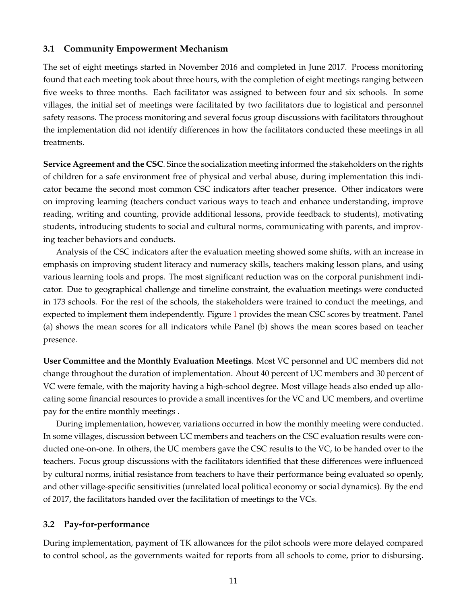## **3.1 Community Empowerment Mechanism**

The set of eight meetings started in November 2016 and completed in June 2017. Process monitoring found that each meeting took about three hours, with the completion of eight meetings ranging between five weeks to three months. Each facilitator was assigned to between four and six schools. In some villages, the initial set of meetings were facilitated by two facilitators due to logistical and personnel safety reasons. The process monitoring and several focus group discussions with facilitators throughout the implementation did not identify differences in how the facilitators conducted these meetings in all treatments.

**Service Agreement and the CSC**. Since the socialization meeting informed the stakeholders on the rights of children for a safe environment free of physical and verbal abuse, during implementation this indicator became the second most common CSC indicators after teacher presence. Other indicators were on improving learning (teachers conduct various ways to teach and enhance understanding, improve reading, writing and counting, provide additional lessons, provide feedback to students), motivating students, introducing students to social and cultural norms, communicating with parents, and improving teacher behaviors and conducts.

Analysis of the CSC indicators after the evaluation meeting showed some shifts, with an increase in emphasis on improving student literacy and numeracy skills, teachers making lesson plans, and using various learning tools and props. The most significant reduction was on the corporal punishment indicator. Due to geographical challenge and timeline constraint, the evaluation meetings were conducted in 173 schools. For the rest of the schools, the stakeholders were trained to conduct the meetings, and expected to implement them independently. Figure [1](#page-31-0) provides the mean CSC scores by treatment. Panel (a) shows the mean scores for all indicators while Panel (b) shows the mean scores based on teacher presence.

**User Committee and the Monthly Evaluation Meetings**. Most VC personnel and UC members did not change throughout the duration of implementation. About 40 percent of UC members and 30 percent of VC were female, with the majority having a high-school degree. Most village heads also ended up allocating some financial resources to provide a small incentives for the VC and UC members, and overtime pay for the entire monthly meetings .

During implementation, however, variations occurred in how the monthly meeting were conducted. In some villages, discussion between UC members and teachers on the CSC evaluation results were conducted one-on-one. In others, the UC members gave the CSC results to the VC, to be handed over to the teachers. Focus group discussions with the facilitators identified that these differences were influenced by cultural norms, initial resistance from teachers to have their performance being evaluated so openly, and other village-specific sensitivities (unrelated local political economy or social dynamics). By the end of 2017, the facilitators handed over the facilitation of meetings to the VCs.

## **3.2 Pay-for-performance**

During implementation, payment of TK allowances for the pilot schools were more delayed compared to control school, as the governments waited for reports from all schools to come, prior to disbursing.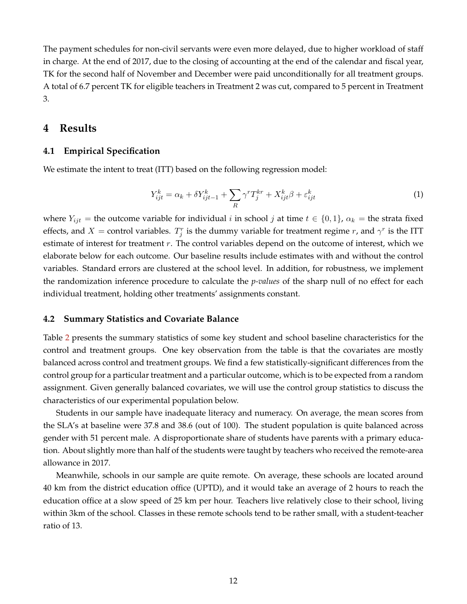The payment schedules for non-civil servants were even more delayed, due to higher workload of staff in charge. At the end of 2017, due to the closing of accounting at the end of the calendar and fiscal year, TK for the second half of November and December were paid unconditionally for all treatment groups. A total of 6.7 percent TK for eligible teachers in Treatment 2 was cut, compared to 5 percent in Treatment 3.

## <span id="page-12-0"></span>**4 Results**

## **4.1 Empirical Specification**

<span id="page-12-1"></span>We estimate the intent to treat (ITT) based on the following regression model:

$$
Y_{ijt}^k = \alpha_k + \delta Y_{ijt-1}^k + \sum_R \gamma^r T_j^{kr} + X_{ijt}^k \beta + \varepsilon_{ijt}^k \tag{1}
$$

where  $Y_{ijt}$  = the outcome variable for individual *i* in school *j* at time  $t \in \{0,1\}$ ,  $\alpha_k$  = the strata fixed effects, and  $X =$  control variables.  $T_j^r$  is the dummy variable for treatment regime r, and  $\gamma^r$  is the ITT estimate of interest for treatment  $r$ . The control variables depend on the outcome of interest, which we elaborate below for each outcome. Our baseline results include estimates with and without the control variables. Standard errors are clustered at the school level. In addition, for robustness, we implement the randomization inference procedure to calculate the *p-values* of the sharp null of no effect for each individual treatment, holding other treatments' assignments constant.

### **4.2 Summary Statistics and Covariate Balance**

Table [2](#page-18-0) presents the summary statistics of some key student and school baseline characteristics for the control and treatment groups. One key observation from the table is that the covariates are mostly balanced across control and treatment groups. We find a few statistically-significant differences from the control group for a particular treatment and a particular outcome, which is to be expected from a random assignment. Given generally balanced covariates, we will use the control group statistics to discuss the characteristics of our experimental population below.

Students in our sample have inadequate literacy and numeracy. On average, the mean scores from the SLA's at baseline were 37.8 and 38.6 (out of 100). The student population is quite balanced across gender with 51 percent male. A disproportionate share of students have parents with a primary education. About slightly more than half of the students were taught by teachers who received the remote-area allowance in 2017.

Meanwhile, schools in our sample are quite remote. On average, these schools are located around 40 km from the district education office (UPTD), and it would take an average of 2 hours to reach the education office at a slow speed of 25 km per hour. Teachers live relatively close to their school, living within 3km of the school. Classes in these remote schools tend to be rather small, with a student-teacher ratio of 13.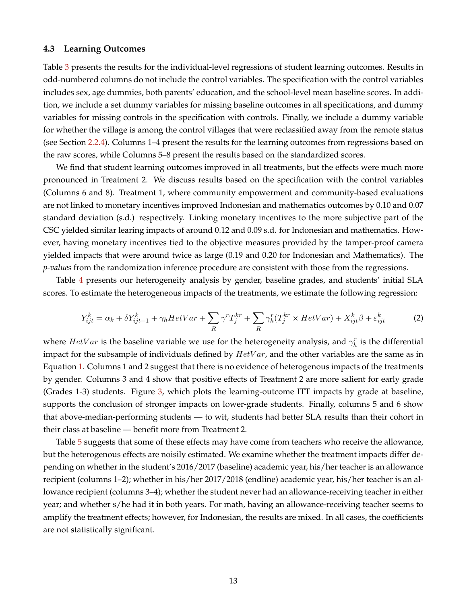#### **4.3 Learning Outcomes**

Table [3](#page-19-0) presents the results for the individual-level regressions of student learning outcomes. Results in odd-numbered columns do not include the control variables. The specification with the control variables includes sex, age dummies, both parents' education, and the school-level mean baseline scores. In addition, we include a set dummy variables for missing baseline outcomes in all specifications, and dummy variables for missing controls in the specification with controls. Finally, we include a dummy variable for whether the village is among the control villages that were reclassified away from the remote status (see Section [2.2.4\)](#page-9-0). Columns 1–4 present the results for the learning outcomes from regressions based on the raw scores, while Columns 5–8 present the results based on the standardized scores.

We find that student learning outcomes improved in all treatments, but the effects were much more pronounced in Treatment 2. We discuss results based on the specification with the control variables (Columns 6 and 8). Treatment 1, where community empowerment and community-based evaluations are not linked to monetary incentives improved Indonesian and mathematics outcomes by 0.10 and 0.07 standard deviation (s.d.) respectively. Linking monetary incentives to the more subjective part of the CSC yielded similar learing impacts of around 0.12 and 0.09 s.d. for Indonesian and mathematics. However, having monetary incentives tied to the objective measures provided by the tamper-proof camera yielded impacts that were around twice as large (0.19 and 0.20 for Indonesian and Mathematics). The *p-values* from the randomization inference procedure are consistent with those from the regressions.

Table [4](#page-20-0) presents our heterogeneity analysis by gender, baseline grades, and students' initial SLA scores. To estimate the heterogeneous impacts of the treatments, we estimate the following regression:

$$
Y_{ijt}^k = \alpha_k + \delta Y_{ijt-1}^k + \gamma_h HetVar + \sum_R \gamma^r T_j^{kr} + \sum_R \gamma_h^r (T_j^{kr} \times HetVar) + X_{ijt}^k \beta + \varepsilon_{ijt}^k \tag{2}
$$

where  $HetVar$  is the baseline variable we use for the heterogeneity analysis, and  $\gamma_h^r$  is the differential impact for the subsample of individuals defined by  $HetVar$ , and the other variables are the same as in Equation [1.](#page-12-1) Columns 1 and 2 suggest that there is no evidence of heterogenous impacts of the treatments by gender. Columns 3 and 4 show that positive effects of Treatment 2 are more salient for early grade (Grades 1-3) students. Figure [3,](#page-32-0) which plots the learning-outcome ITT impacts by grade at baseline, supports the conclusion of stronger impacts on lower-grade students. Finally, columns 5 and 6 show that above-median-performing students — to wit, students had better SLA results than their cohort in their class at baseline — benefit more from Treatment 2.

Table [5](#page-21-0) suggests that some of these effects may have come from teachers who receive the allowance, but the heterogenous effects are noisily estimated. We examine whether the treatment impacts differ depending on whether in the student's 2016/2017 (baseline) academic year, his/her teacher is an allowance recipient (columns 1–2); whether in his/her 2017/2018 (endline) academic year, his/her teacher is an allowance recipient (columns 3–4); whether the student never had an allowance-receiving teacher in either year; and whether s/he had it in both years. For math, having an allowance-receiving teacher seems to amplify the treatment effects; however, for Indonesian, the results are mixed. In all cases, the coefficients are not statistically significant.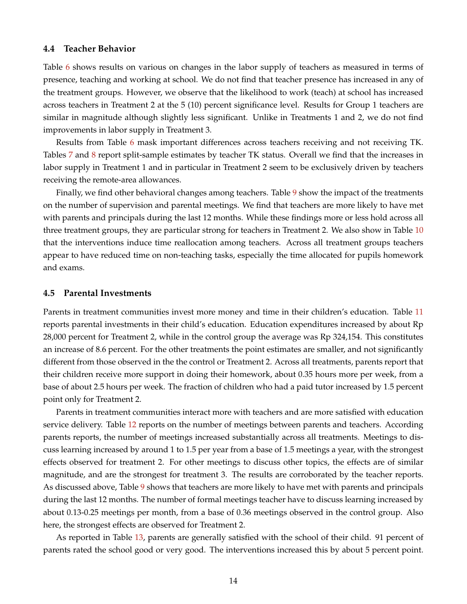### **4.4 Teacher Behavior**

Table [6](#page-22-0) shows results on various on changes in the labor supply of teachers as measured in terms of presence, teaching and working at school. We do not find that teacher presence has increased in any of the treatment groups. However, we observe that the likelihood to work (teach) at school has increased across teachers in Treatment 2 at the 5 (10) percent significance level. Results for Group 1 teachers are similar in magnitude although slightly less significant. Unlike in Treatments 1 and 2, we do not find improvements in labor supply in Treatment 3.

Results from Table [6](#page-22-0) mask important differences across teachers receiving and not receiving TK. Tables [7](#page-23-0) and [8](#page-24-0) report split-sample estimates by teacher TK status. Overall we find that the increases in labor supply in Treatment 1 and in particular in Treatment 2 seem to be exclusively driven by teachers receiving the remote-area allowances.

Finally, we find other behavioral changes among teachers. Table [9](#page-25-0) show the impact of the treatments on the number of supervision and parental meetings. We find that teachers are more likely to have met with parents and principals during the last 12 months. While these findings more or less hold across all three treatment groups, they are particular strong for teachers in Treatment 2. We also show in Table [10](#page-26-0) that the interventions induce time reallocation among teachers. Across all treatment groups teachers appear to have reduced time on non-teaching tasks, especially the time allocated for pupils homework and exams.

### **4.5 Parental Investments**

Parents in treatment communities invest more money and time in their children's education. Table [11](#page-27-0) reports parental investments in their child's education. Education expenditures increased by about Rp 28,000 percent for Treatment 2, while in the control group the average was Rp 324,154. This constitutes an increase of 8.6 percent. For the other treatments the point estimates are smaller, and not significantly different from those observed in the the control or Treatment 2. Across all treatments, parents report that their children receive more support in doing their homework, about 0.35 hours more per week, from a base of about 2.5 hours per week. The fraction of children who had a paid tutor increased by 1.5 percent point only for Treatment 2.

Parents in treatment communities interact more with teachers and are more satisfied with education service delivery. Table [12](#page-28-0) reports on the number of meetings between parents and teachers. According parents reports, the number of meetings increased substantially across all treatments. Meetings to discuss learning increased by around 1 to 1.5 per year from a base of 1.5 meetings a year, with the strongest effects observed for treatment 2. For other meetings to discuss other topics, the effects are of similar magnitude, and are the strongest for treatment 3. The results are corroborated by the teacher reports. As discussed above, Table [9](#page-25-0) shows that teachers are more likely to have met with parents and principals during the last 12 months. The number of formal meetings teacher have to discuss learning increased by about 0.13-0.25 meetings per month, from a base of 0.36 meetings observed in the control group. Also here, the strongest effects are observed for Treatment 2.

As reported in Table [13,](#page-29-0) parents are generally satisfied with the school of their child. 91 percent of parents rated the school good or very good. The interventions increased this by about 5 percent point.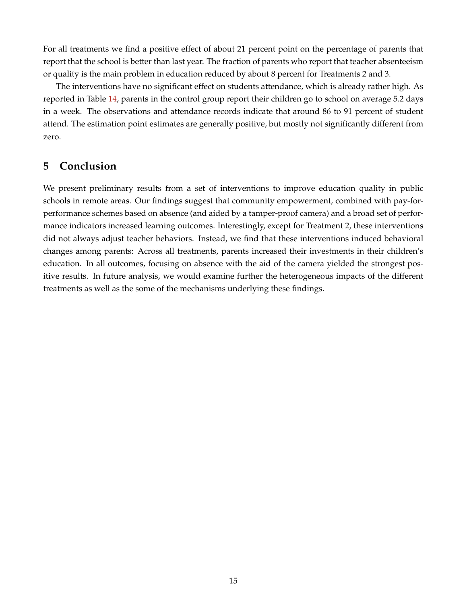For all treatments we find a positive effect of about 21 percent point on the percentage of parents that report that the school is better than last year. The fraction of parents who report that teacher absenteeism or quality is the main problem in education reduced by about 8 percent for Treatments 2 and 3.

The interventions have no significant effect on students attendance, which is already rather high. As reported in Table [14,](#page-30-0) parents in the control group report their children go to school on average 5.2 days in a week. The observations and attendance records indicate that around 86 to 91 percent of student attend. The estimation point estimates are generally positive, but mostly not significantly different from zero.

## <span id="page-15-0"></span>**5 Conclusion**

We present preliminary results from a set of interventions to improve education quality in public schools in remote areas. Our findings suggest that community empowerment, combined with pay-forperformance schemes based on absence (and aided by a tamper-proof camera) and a broad set of performance indicators increased learning outcomes. Interestingly, except for Treatment 2, these interventions did not always adjust teacher behaviors. Instead, we find that these interventions induced behavioral changes among parents: Across all treatments, parents increased their investments in their children's education. In all outcomes, focusing on absence with the aid of the camera yielded the strongest positive results. In future analysis, we would examine further the heterogeneous impacts of the different treatments as well as the some of the mechanisms underlying these findings.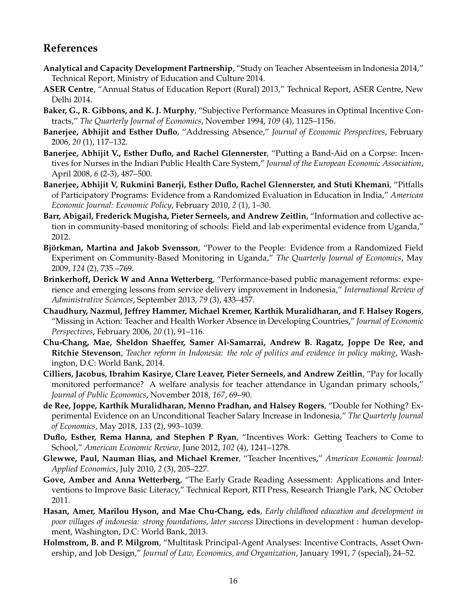# **References**

- <span id="page-16-0"></span>**Analytical and Capacity Development Partnership**, "Study on Teacher Absenteeism in Indonesia 2014," Technical Report, Ministry of Education and Culture 2014.
- <span id="page-16-14"></span>**ASER Centre**, "Annual Status of Education Report (Rural) 2013," Technical Report, ASER Centre, New Delhi 2014.
- <span id="page-16-6"></span>**Baker, G., R. Gibbons, and K. J. Murphy**, "Subjective Performance Measures in Optimal Incentive Contracts," *The Quarterly Journal of Economics*, November 1994, *109* (4), 1125–1156.
- <span id="page-16-11"></span>**Banerjee, Abhijit and Esther Duflo**, "Addressing Absence," *Journal of Economic Perspectives*, February 2006, *20* (1), 117–132.
- <span id="page-16-12"></span>**Banerjee, Abhijit V., Esther Duflo, and Rachel Glennerster**, "Putting a Band-Aid on a Corpse: Incentives for Nurses in the Indian Public Health Care System," *Journal of the European Economic Association*, April 2008, *6* (2-3), 487–500.
- <span id="page-16-4"></span>**Banerjee, Abhijit V, Rukmini Banerji, Esther Duflo, Rachel Glennerster, and Stuti Khemani**, "Pitfalls of Participatory Programs: Evidence from a Randomized Evaluation in Education in India," *American Economic Journal: Economic Policy*, February 2010, *2* (1), 1–30.
- <span id="page-16-3"></span>**Barr, Abigail, Frederick Mugisha, Pieter Serneels, and Andrew Zeitlin**, "Information and collective action in community-based monitoring of schools: Field and lab experimental evidence from Uganda," 2012.
- <span id="page-16-2"></span>Björkman, Martina and Jakob Svensson, "Power to the People: Evidence from a Randomized Field Experiment on Community-Based Monitoring in Uganda," *The Quarterly Journal of Economics*, May 2009, *124* (2), 735 –769.
- <span id="page-16-13"></span>**Brinkerhoff, Derick W and Anna Wetterberg**, "Performance-based public management reforms: experience and emerging lessons from service delivery improvement in Indonesia," *International Review of Administrative Sciences*, September 2013, *79* (3), 433–457.
- <span id="page-16-16"></span>**Chaudhury, Nazmul, Jeffrey Hammer, Michael Kremer, Karthik Muralidharan, and F. Halsey Rogers**, "Missing in Action: Teacher and Health Worker Absence in Developing Countries," *Journal of Economic Perspectives*, February 2006, *20* (1), 91–116.
- <span id="page-16-17"></span>**Chu-Chang, Mae, Sheldon Shaeffer, Samer Al-Samarrai, Andrew B. Ragatz, Joppe De Ree, and Ritchie Stevenson**, *Teacher reform in Indonesia: the role of politics and evidence in policy making*, Washington, D.C: World Bank, 2014.
- <span id="page-16-5"></span>**Cilliers, Jacobus, Ibrahim Kasirye, Clare Leaver, Pieter Serneels, and Andrew Zeitlin**, "Pay for locally monitored performance? A welfare analysis for teacher attendance in Ugandan primary schools," *Journal of Public Economics*, November 2018, *167*, 69–90.
- <span id="page-16-8"></span>**de Ree, Joppe, Karthik Muralidharan, Menno Pradhan, and Halsey Rogers**, "Double for Nothing? Experimental Evidence on an Unconditional Teacher Salary Increase in Indonesia," *The Quarterly Journal of Economics*, May 2018, *133* (2), 993–1039.
- <span id="page-16-1"></span>**Duflo, Esther, Rema Hanna, and Stephen P Ryan**, "Incentives Work: Getting Teachers to Come to School," *American Economic Review*, June 2012, *102* (4), 1241–1278.
- <span id="page-16-10"></span>**Glewwe, Paul, Nauman Ilias, and Michael Kremer**, "Teacher Incentives," *American Economic Journal: Applied Economics*, July 2010, *2* (3), 205–227.
- <span id="page-16-15"></span>**Gove, Amber and Anna Wetterberg**, "The Early Grade Reading Assessment: Applications and Interventions to Improve Basic Literacy," Technical Report, RTI Press, Research Triangle Park, NC October 2011.
- <span id="page-16-9"></span>**Hasan, Amer, Marilou Hyson, and Mae Chu-Chang, eds**, *Early childhood education and development in poor villages of indonesia: strong foundations, later success* Directions in development : human development, Washington, D.C: World Bank, 2013.
- <span id="page-16-7"></span>**Holmstrom, B. and P. Milgrom**, "Multitask Principal-Agent Analyses: Incentive Contracts, Asset Ownership, and Job Design," *Journal of Law, Economics, and Organization*, January 1991, *7* (special), 24–52.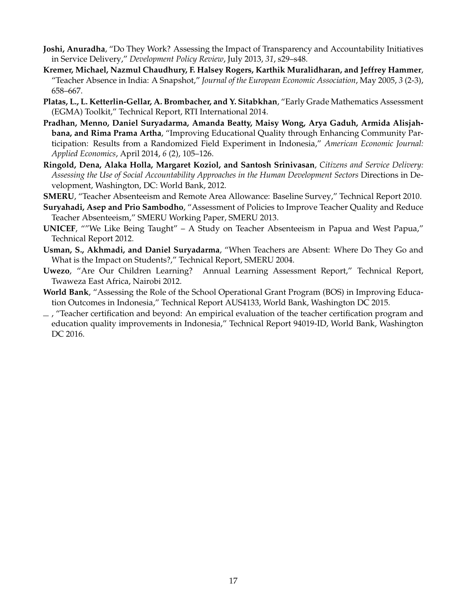- <span id="page-17-6"></span>**Joshi, Anuradha**, "Do They Work? Assessing the Impact of Transparency and Accountability Initiatives in Service Delivery," *Development Policy Review*, July 2013, *31*, s29–s48.
- <span id="page-17-5"></span>**Kremer, Michael, Nazmul Chaudhury, F. Halsey Rogers, Karthik Muralidharan, and Jeffrey Hammer**, "Teacher Absence in India: A Snapshot," *Journal of the European Economic Association*, May 2005, *3* (2-3), 658–667.
- <span id="page-17-9"></span>**Platas, L., L. Ketterlin-Gellar, A. Brombacher, and Y. Sitabkhan**, "Early Grade Mathematics Assessment (EGMA) Toolkit," Technical Report, RTI International 2014.
- <span id="page-17-2"></span>**Pradhan, Menno, Daniel Suryadarma, Amanda Beatty, Maisy Wong, Arya Gaduh, Armida Alisjahbana, and Rima Prama Artha**, "Improving Educational Quality through Enhancing Community Participation: Results from a Randomized Field Experiment in Indonesia," *American Economic Journal: Applied Economics*, April 2014, *6* (2), 105–126.
- <span id="page-17-7"></span>**Ringold, Dena, Alaka Holla, Margaret Koziol, and Santosh Srinivasan**, *Citizens and Service Delivery: Assessing the Use of Social Accountability Approaches in the Human Development Sectors* Directions in Development, Washington, DC: World Bank, 2012.
- <span id="page-17-3"></span>**SMERU**, "Teacher Absenteeism and Remote Area Allowance: Baseline Survey," Technical Report 2010.
- <span id="page-17-4"></span>**Suryahadi, Asep and Prio Sambodho**, "Assessment of Policies to Improve Teacher Quality and Reduce Teacher Absenteeism," SMERU Working Paper, SMERU 2013.
- <span id="page-17-1"></span>**UNICEF**, ""We Like Being Taught" – A Study on Teacher Absenteeism in Papua and West Papua," Technical Report 2012.
- <span id="page-17-0"></span>**Usman, S., Akhmadi, and Daniel Suryadarma**, "When Teachers are Absent: Where Do They Go and What is the Impact on Students?," Technical Report, SMERU 2004.
- <span id="page-17-8"></span>**Uwezo**, "Are Our Children Learning? Annual Learning Assessment Report," Technical Report, Twaweza East Africa, Nairobi 2012.
- <span id="page-17-10"></span>**World Bank**, "Assessing the Role of the School Operational Grant Program (BOS) in Improving Education Outcomes in Indonesia," Technical Report AUS4133, World Bank, Washington DC 2015.
- <span id="page-17-11"></span> $-$ , "Teacher certification and beyond: An empirical evaluation of the teacher certification program and education quality improvements in Indonesia," Technical Report 94019-ID, World Bank, Washington DC 2016.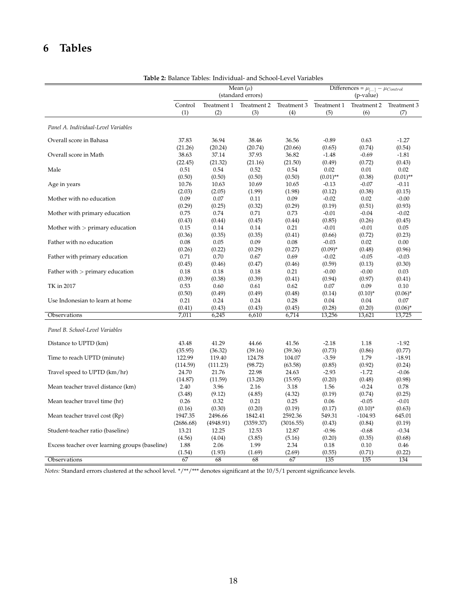# **6 Tables**

<span id="page-18-0"></span>

| 2. Dalance Tables. Individual- and School-Level Variables |           |             |                                   |             |             |                                                     |             |  |  |
|-----------------------------------------------------------|-----------|-------------|-----------------------------------|-------------|-------------|-----------------------------------------------------|-------------|--|--|
|                                                           |           |             | Mean $(\mu)$<br>(standard errors) |             |             | Differences = $\mu$ [] – $\mu$ Control<br>(p-value) |             |  |  |
|                                                           | Control   | Treatment 1 | Treatment 2                       | Treatment 3 | Treatment 1 | Treatment 2                                         | Treatment 3 |  |  |
|                                                           | (1)       | (2)         | (3)                               | (4)         | (5)         | (6)                                                 | (7)         |  |  |
| Panel A. Individual-Level Variables                       |           |             |                                   |             |             |                                                     |             |  |  |
| Overall score in Bahasa                                   | 37.83     | 36.94       | 38.46                             | 36.56       | $-0.89$     | 0.63                                                | $-1.27$     |  |  |
| Overall score in Math                                     | (21.26)   | (20.24)     | (20.74)                           | (20.66)     | (0.65)      | (0.74)                                              | (0.54)      |  |  |
|                                                           | 38.63     | 37.14       | 37.93                             | 36.82       | $-1.48$     | $-0.69$                                             | $-1.81$     |  |  |
| Male                                                      | (22.45)   | (21.32)     | (21.16)                           | (21.50)     | (0.49)      | (0.72)                                              | (0.43)      |  |  |
|                                                           | 0.51      | 0.54        | 0.52                              | 0.54        | 0.02        | 0.01                                                | 0.02        |  |  |
| Age in years                                              | (0.50)    | (0.50)      | (0.50)                            | (0.50)      | $(0.01)$ ** | (0.38)                                              | $(0.01)$ ** |  |  |
|                                                           | 10.76     | 10.63       | 10.69                             | 10.65       | $-0.13$     | $-0.07$                                             | $-0.11$     |  |  |
| Mother with no education                                  | (2.03)    | (2.05)      | (1.99)                            | (1.98)      | (0.12)      | (0.38)                                              | (0.15)      |  |  |
|                                                           | 0.09      | 0.07        | 0.11                              | 0.09        | $-0.02$     | 0.02                                                | $-0.00$     |  |  |
| Mother with primary education                             | (0.29)    | (0.25)      | (0.32)                            | (0.29)      | (0.19)      | (0.51)                                              | (0.93)      |  |  |
|                                                           | 0.75      | 0.74        | 0.71                              | 0.73        | $-0.01$     | $-0.04$                                             | $-0.02$     |  |  |
| Mother with $>$ primary education                         | (0.43)    | (0.44)      | (0.45)                            | (0.44)      | (0.85)      | (0.26)                                              | (0.45)      |  |  |
|                                                           | 0.15      | 0.14        | 0.14                              | 0.21        | $-0.01$     | $-0.01$                                             | 0.05        |  |  |
|                                                           | (0.36)    | (0.35)      | (0.35)                            | (0.41)      | (0.66)      | (0.72)                                              | (0.23)      |  |  |
| Father with no education                                  | 0.08      | 0.05        | 0.09                              | 0.08        | $-0.03$     | 0.02                                                | 0.00        |  |  |
|                                                           | (0.26)    | (0.22)      | (0.29)                            | (0.27)      | $(0.09)^*$  | (0.48)                                              | (0.96)      |  |  |
| Father with primary education                             | 0.71      | 0.70        | 0.67                              | 0.69        | $-0.02$     | $-0.05$                                             | $-0.03$     |  |  |
|                                                           | (0.45)    | (0.46)      | (0.47)                            | (0.46)      | (0.59)      | (0.13)                                              | (0.30)      |  |  |
| Father with $>$ primary education                         | 0.18      | 0.18        | 0.18                              | 0.21        | $-0.00$     | $-0.00$                                             | 0.03        |  |  |
|                                                           | (0.39)    | (0.38)      | (0.39)                            | (0.41)      | (0.94)      | (0.97)                                              | (0.41)      |  |  |
| TK in 2017                                                | 0.53      | 0.60        | 0.61                              | 0.62        | 0.07        | 0.09                                                | 0.10        |  |  |
|                                                           | (0.50)    | (0.49)      | (0.49)                            | (0.48)      | (0.14)      | $(0.10)^*$                                          | $(0.06)^*$  |  |  |
| Use Indonesian to learn at home                           | 0.21      | 0.24        | 0.24                              | 0.28        | 0.04        | 0.04                                                | 0.07        |  |  |
|                                                           | (0.41)    | (0.43)      | (0.43)                            | (0.45)      | (0.28)      | (0.20)                                              | $(0.06)^*$  |  |  |
| Observations                                              | 7,011     | 6,245       | 6,610                             | 6,714       | 13,256      | 13,621                                              | 13,725      |  |  |
| Panel B. School-Level Variables                           |           |             |                                   |             |             |                                                     |             |  |  |
| Distance to UPTD (km)                                     | 43.48     | 41.29       | 44.66                             | 41.56       | $-2.18$     | 1.18                                                | $-1.92$     |  |  |
|                                                           | (35.95)   | (36.32)     | (39.16)                           | (39.36)     | (0.73)      | (0.86)                                              | (0.77)      |  |  |
| Time to reach UPTD (minute)                               | 122.99    | 119.40      | 124.78                            | 104.07      | $-3.59$     | 1.79                                                | $-18.91$    |  |  |
|                                                           | (114.59)  | (111.23)    | (98.72)                           | (63.58)     | (0.85)      | (0.92)                                              | (0.24)      |  |  |
| Travel speed to UPTD (km/hr)                              | 24.70     | 21.76       | 22.98                             | 24.63       | $-2.93$     | $-1.72$                                             | $-0.06$     |  |  |
| Mean teacher travel distance (km)                         | (14.87)   | (11.59)     | (13.28)                           | (15.95)     | (0.20)      | (0.48)                                              | (0.98)      |  |  |
|                                                           | 2.40      | 3.96        | 2.16                              | 3.18        | 1.56        | $-0.24$                                             | 0.78        |  |  |
| Mean teacher travel time (hr)                             | (3.48)    | (9.12)      | (4.85)                            | (4.32)      | (0.19)      | (0.74)                                              | (0.25)      |  |  |
|                                                           | 0.26      | 0.32        | 0.21                              | 0.25        | 0.06        | $-0.05$                                             | $-0.01$     |  |  |
| Mean teacher travel cost (Rp)                             | (0.16)    | (0.30)      | (0.20)                            | (0.19)      | (0.17)      | $(0.10)^*$                                          | (0.63)      |  |  |
|                                                           | 1947.35   | 2496.66     | 1842.41                           | 2592.36     | 549.31      | $-104.93$                                           | 645.01      |  |  |
| Student-teacher ratio (baseline)                          | (2686.68) | (4948.91)   | (3359.37)                         | (3016.55)   | (0.43)      | (0.84)                                              | (0.19)      |  |  |
|                                                           | 13.21     | 12.25       | 12.53                             | 12.87       | $-0.96$     | $-0.68$                                             | $-0.34$     |  |  |
| Excess teacher over learning groups (baseline)            | (4.56)    | (4.04)      | (3.85)                            | (5.16)      | (0.20)      | (0.35)                                              | (0.68)      |  |  |
|                                                           | 1.88      | 2.06        | 1.99                              | 2.34        | 0.18        | 0.10                                                | 0.46        |  |  |
| Observations                                              | (1.54)    | (1.93)      | (1.69)                            | (2.69)      | (0.55)      | (0.71)                                              | (0.22)      |  |  |
|                                                           | 67        | 68          | 68                                | 67          | 135         | 135                                                 | 134         |  |  |

**Table 2:** Balance Tables: Individual- and School-Level Variables

*Notes:* Standard errors clustered at the school level. \*/\*\*/\*\*\* denotes significant at the 10/5/1 percent significance levels.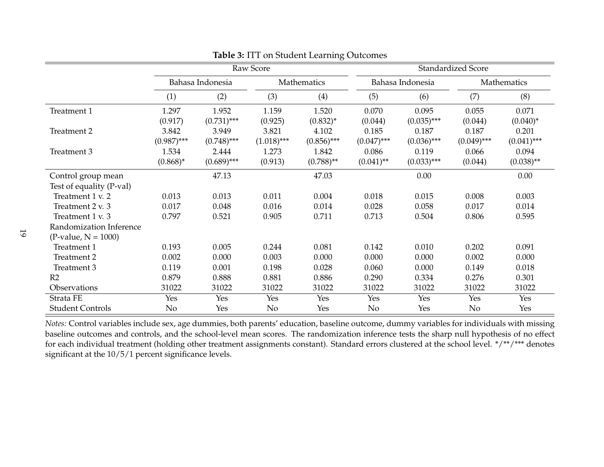|                          |               |                  | Raw Score     |               | <b>Standardized Score</b> |                  |               |               |
|--------------------------|---------------|------------------|---------------|---------------|---------------------------|------------------|---------------|---------------|
|                          |               | Bahasa Indonesia |               | Mathematics   |                           | Bahasa Indonesia | Mathematics   |               |
|                          | (1)           | (2)              | (3)           | (4)           | (5)                       | (6)              | (7)           | (8)           |
| Treatment 1              | 1.297         | 1.952            | 1.159         | 1.520         | 0.070                     | 0.095            | 0.055         | 0.071         |
|                          | (0.917)       | $(0.731)$ ***    | (0.925)       | $(0.832)^*$   | (0.044)                   | $(0.035)$ ***    | (0.044)       | $(0.040)^*$   |
| Treatment 2              | 3.842         | 3.949            | 3.821         | 4.102         | 0.185                     | 0.187            | 0.187         | 0.201         |
|                          | $(0.987)$ *** | $(0.748)$ ***    | $(1.018)$ *** | $(0.856)$ *** | $(0.047)$ ***             | $(0.036)$ ***    | $(0.049)$ *** | $(0.041)$ *** |
| Treatment 3              | 1.534         | 2.444            | 1.273         | 1.842         | 0.086                     | 0.119            | 0.066         | 0.094         |
|                          | $(0.868)^*$   | $(0.689)$ ***    | (0.913)       | $(0.788)$ **  | $(0.041)$ **              | $(0.033)$ ***    | (0.044)       | $(0.038)$ **  |
| Control group mean       |               | 47.13            |               | 47.03         |                           | 0.00             |               | 0.00          |
| Test of equality (P-val) |               |                  |               |               |                           |                  |               |               |
| Treatment 1 v. 2         | 0.013         | 0.013            | 0.011         | 0.004         | 0.018                     | 0.015            | 0.008         | 0.003         |
| Treatment 2 v. 3         | 0.017         | 0.048            | 0.016         | 0.014         | 0.028                     | 0.058            | 0.017         | 0.014         |
| Treatment 1 v. 3         | 0.797         | 0.521            | 0.905         | 0.711         | 0.713                     | 0.504            | 0.806         | 0.595         |
| Randomization Inference  |               |                  |               |               |                           |                  |               |               |
| $(P-value, N = 1000)$    |               |                  |               |               |                           |                  |               |               |
| Treatment 1              | 0.193         | 0.005            | 0.244         | 0.081         | 0.142                     | 0.010            | 0.202         | 0.091         |
| Treatment 2              | 0.002         | 0.000            | 0.003         | 0.000         | 0.000                     | 0.000            | 0.002         | 0.000         |
| Treatment 3              | 0.119         | 0.001            | 0.198         | 0.028         | 0.060                     | 0.000            | 0.149         | 0.018         |
| R2                       | 0.879         | 0.888            | 0.881         | 0.886         | 0.290                     | 0.334            | 0.276         | 0.301         |
| Observations             | 31022         | 31022            | 31022         | 31022         | 31022                     | 31022            | 31022         | 31022         |
| Strata FE                | Yes           | Yes              | Yes           | Yes           | Yes                       | Yes              | Yes           | Yes           |
| <b>Student Controls</b>  | No            | Yes              | No            | Yes           | No                        | Yes              | No            | Yes           |

<span id="page-19-0"></span>**Table 3:** ITT on Student Learning Outcomes

*Notes:* Control variables include sex, age dummies, both parents' education, baseline outcome, dummy variables for individuals with missing baseline outcomes and controls, and the school-level mean scores. The randomization inference tests the sharp null hypothesis of no effectfor each individual treatment (holding other treatment assignments constant). Standard errors clustered at the school level. \*/\*\*/\*\*\* denotes significant at the  $10/5/1$  percent significance levels.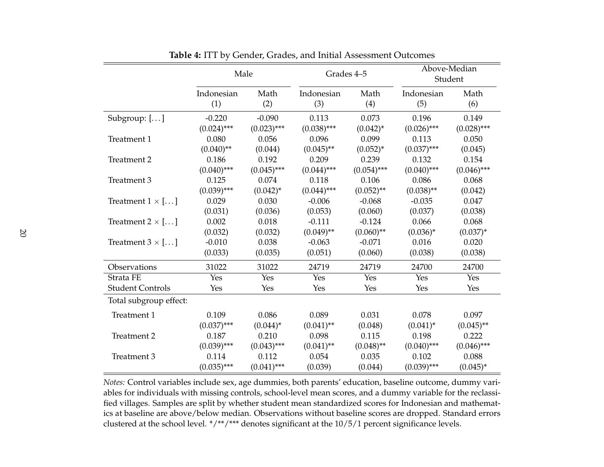|                         | Male          |               | Grades 4-5    |               |               | Above-Median<br>Student |  |
|-------------------------|---------------|---------------|---------------|---------------|---------------|-------------------------|--|
|                         | Indonesian    | Math          | Indonesian    | Math          | Indonesian    | Math                    |  |
|                         | (1)           | (2)           | (3)           | (4)           | (5)           | (6)                     |  |
| Subgroup: $[]$          | $-0.220$      | $-0.090$      | 0.113         | 0.073         | 0.196         | 0.149                   |  |
|                         | $(0.024)$ *** | $(0.023)$ *** | $(0.038)$ *** | $(0.042)^*$   | $(0.026)$ *** | $(0.028)$ ***           |  |
| Treatment 1             | 0.080         | 0.056         | 0.096         | 0.099         | 0.113         | 0.050                   |  |
|                         | $(0.040)$ **  | (0.044)       | $(0.045)$ **  | $(0.052)^{*}$ | $(0.037)$ *** | (0.045)                 |  |
| Treatment 2             | 0.186         | 0.192         | 0.209         | 0.239         | 0.132         | 0.154                   |  |
|                         | $(0.040)$ *** | $(0.045)$ *** | $(0.044)$ *** | $(0.054)$ *** | $(0.040)$ *** | $(0.046)$ ***           |  |
| Treatment 3             | 0.125         | 0.074         | 0.118         | 0.106         | 0.086         | 0.068                   |  |
|                         | $(0.039)$ *** | $(0.042)^{*}$ | $(0.044)$ *** | $(0.052)$ **  | $(0.038)$ **  | (0.042)                 |  |
| Treatment $1 \times$ [] | 0.029         | 0.030         | $-0.006$      | $-0.068$      | $-0.035$      | 0.047                   |  |
|                         | (0.031)       | (0.036)       | (0.053)       | (0.060)       | (0.037)       | (0.038)                 |  |
| Treatment $2 \times$ [] | 0.002         | 0.018         | $-0.111$      | $-0.124$      | 0.066         | 0.068                   |  |
|                         | (0.032)       | (0.032)       | $(0.049)$ **  | $(0.060)$ **  | $(0.036)^*$   | $(0.037)^{*}$           |  |
| Treatment $3 \times$ [] | $-0.010$      | 0.038         | $-0.063$      | $-0.071$      | 0.016         | 0.020                   |  |
|                         | (0.033)       | (0.035)       | (0.051)       | (0.060)       | (0.038)       | (0.038)                 |  |
| Observations            | 31022         | 31022         | 24719         | 24719         | 24700         | 24700                   |  |
| Strata FE               | Yes           | Yes           | Yes           | Yes           | Yes           | Yes                     |  |
| <b>Student Controls</b> | Yes           | Yes           | Yes           | Yes           | Yes           | Yes                     |  |
| Total subgroup effect:  |               |               |               |               |               |                         |  |
| Treatment 1             | 0.109         | 0.086         | 0.089         | 0.031         | 0.078         | 0.097                   |  |
|                         | $(0.037)$ *** | $(0.044)^*$   | $(0.041)$ **  | (0.048)       | $(0.041)^{*}$ | $(0.045)$ **            |  |
| Treatment 2             | 0.187         | 0.210         | 0.098         | 0.115         | 0.198         | 0.222                   |  |
|                         | $(0.039)$ *** | $(0.043)$ *** | $(0.041)$ **  | $(0.048)$ **  | $(0.040)$ *** | $(0.046)$ ***           |  |
| Treatment 3             | 0.114         | 0.112         | 0.054         | 0.035         | 0.102         | 0.088                   |  |
|                         | $(0.035)$ *** | $(0.041)$ *** | (0.039)       | (0.044)       | $(0.039)$ *** | $(0.045)^*$             |  |

**Table 4:** ITT by Gender, Grades, and Initial Assessment Outcomes

<span id="page-20-0"></span>*Notes:* Control variables include sex, age dummies, both parents' education, baseline outcome, dummy variables for individuals with missing controls, school-level mean scores, and <sup>a</sup> dummy variable for the reclassified villages. Samples are split by whether student mean standardized scores for Indonesian and mathematics at baseline are above/below median. Observations without baseline scores are dropped. Standard errorsclustered at the school level. \*/\*\*/\*\*\* denotes significant at the 10/5/1 percen<sup>t</sup> significance levels.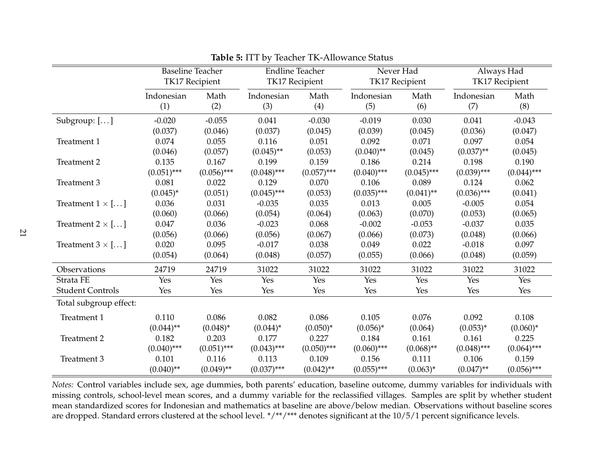|                         | <b>Baseline Teacher</b> | <b>TK17 Recipient</b> | <b>Endline Teacher</b> | <b>TK17 Recipient</b> | Never Had     | TK17 Recipient |               | Always Had<br><b>TK17 Recipient</b> |  |
|-------------------------|-------------------------|-----------------------|------------------------|-----------------------|---------------|----------------|---------------|-------------------------------------|--|
|                         | Indonesian              | Math                  | Indonesian             | Math                  | Indonesian    | Math           | Indonesian    | Math                                |  |
|                         | (1)                     | (2)                   | (3)                    | (4)                   | (5)           | (6)            | (7)           | (8)                                 |  |
| Subgroup: []            | $-0.020$                | $-0.055$              | 0.041                  | $-0.030$              | $-0.019$      | 0.030          | 0.041         | $-0.043$                            |  |
|                         | (0.037)                 | (0.046)               | (0.037)                | (0.045)               | (0.039)       | (0.045)        | (0.036)       | (0.047)                             |  |
| Treatment 1             | 0.074                   | 0.055                 | 0.116                  | 0.051                 | 0.092         | 0.071          | 0.097         | 0.054                               |  |
|                         | (0.046)                 | (0.057)               | $(0.045)$ **           | (0.053)               | $(0.040)$ **  | (0.045)        | $(0.037)$ **  | (0.045)                             |  |
| Treatment 2             | 0.135                   | 0.167                 | 0.199                  | 0.159                 | 0.186         | 0.214          | 0.198         | 0.190                               |  |
|                         | $(0.051)$ ***           | $(0.056)$ ***         | $(0.048)$ ***          | $(0.057)$ ***         | $(0.040)$ *** | $(0.045)$ ***  | $(0.039)$ *** | $(0.044)$ ***                       |  |
| Treatment 3             | 0.081                   | 0.022                 | 0.129                  | 0.070                 | 0.106         | 0.089          | 0.124         | 0.062                               |  |
|                         | $(0.045)^*$             | (0.051)               | $(0.045)$ ***          | (0.053)               | $(0.035)$ *** | $(0.041)$ **   | $(0.036)$ *** | (0.041)                             |  |
| Treatment $1 \times$ [] | 0.036                   | 0.031                 | $-0.035$               | 0.035                 | 0.013         | 0.005          | $-0.005$      | 0.054                               |  |
|                         | (0.060)                 | (0.066)               | (0.054)                | (0.064)               | (0.063)       | (0.070)        | (0.053)       | (0.065)                             |  |
| Treatment $2 \times$ [] | 0.047                   | 0.036                 | $-0.023$               | 0.068                 | $-0.002$      | $-0.053$       | $-0.037$      | 0.035                               |  |
|                         | (0.056)                 | (0.066)               | (0.056)                | (0.067)               | (0.066)       | (0.073)        | (0.048)       | (0.066)                             |  |
| Treatment $3 \times$ [] | 0.020                   | 0.095                 | $-0.017$               | 0.038                 | 0.049         | 0.022          | $-0.018$      | 0.097                               |  |
|                         | (0.054)                 | (0.064)               | (0.048)                | (0.057)               | (0.055)       | (0.066)        | (0.048)       | (0.059)                             |  |
| Observations            | 24719                   | 24719                 | 31022                  | 31022                 | 31022         | 31022          | 31022         | 31022                               |  |
| Strata FE               | Yes                     | Yes                   | Yes                    | Yes                   | Yes           | Yes            | Yes           | Yes                                 |  |
| <b>Student Controls</b> | Yes                     | Yes                   | Yes                    | Yes                   | Yes           | Yes            | Yes           | Yes                                 |  |
| Total subgroup effect:  |                         |                       |                        |                       |               |                |               |                                     |  |
| Treatment 1             | 0.110                   | 0.086                 | 0.082                  | 0.086                 | 0.105         | 0.076          | 0.092         | 0.108                               |  |
|                         | $(0.044)$ **            | $(0.048)^*$           | $(0.044)^*$            | $(0.050)*$            | $(0.056)^*$   | (0.064)        | $(0.053)^{*}$ | $(0.060)*$                          |  |
| Treatment 2             | 0.182                   | 0.203                 | 0.177                  | 0.227                 | 0.184         | 0.161          | 0.161         | 0.225                               |  |
|                         | $(0.040)$ ***           | $(0.051)$ ***         | $(0.043)$ ***          | $(0.050)$ ***         | $(0.060)$ *** | $(0.068)$ **   | $(0.048)$ *** | $(0.064)$ ***                       |  |
| Treatment 3             | 0.101                   | 0.116                 | 0.113                  | 0.109                 | 0.156         | 0.111          | 0.106         | 0.159                               |  |
|                         | $(0.040)$ **            | $(0.049)$ **          | $(0.037)$ ***          | $(0.042)$ **          | $(0.055)$ *** | $(0.063)^*$    | $(0.047)$ **  | $(0.056)$ ***                       |  |

**Table 5:** ITT by Teacher TK-Allowance Status

<span id="page-21-0"></span>*Notes:* Control variables include sex, age dummies, both parents' education, baseline outcome, dummy variables for individuals with missing controls, school-level mean scores, and <sup>a</sup> dummy variable for the reclassified villages. Samples are split by whether student mean standardized scores for Indonesian and mathematics at baseline are above/below median. Observations without baseline scoresare dropped. Standard errors clustered at the school level. \*/\*\*/\*\*\* denotes significant at the 10/5/1 percent significance levels.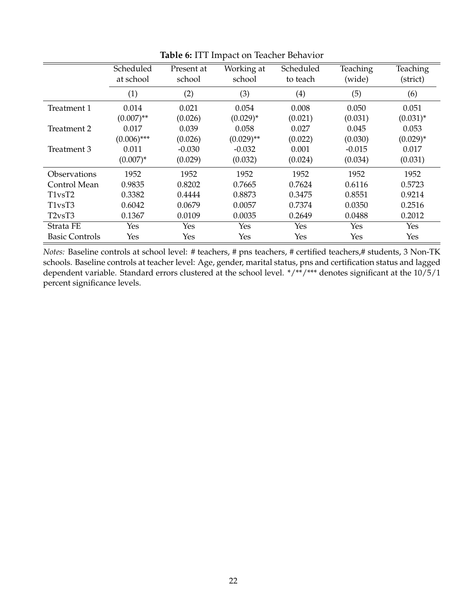<span id="page-22-0"></span>

|                                              | Scheduled<br>at school | Present at<br>school | Working at<br>school | Scheduled<br>to teach | Teaching<br>(wide) | Teaching<br>(strict) |
|----------------------------------------------|------------------------|----------------------|----------------------|-----------------------|--------------------|----------------------|
|                                              | (1)                    | (2)                  | (3)                  | (4)                   | (5)                | (6)                  |
| Treatment 1                                  | 0.014                  | 0.021                | 0.054                | 0.008                 | 0.050              | 0.051                |
|                                              | $(0.007)$ **           | (0.026)              | $(0.029)^*$          | (0.021)               | (0.031)            | $(0.031)^{*}$        |
| Treatment 2                                  | 0.017                  | 0.039                | 0.058                | 0.027                 | 0.045              | 0.053                |
|                                              | $(0.006)$ ***          | (0.026)              | $(0.029)$ **         | (0.022)               | (0.030)            | $(0.029)^*$          |
| Treatment 3                                  | 0.011                  | $-0.030$             | $-0.032$             | 0.001                 | $-0.015$           | 0.017                |
|                                              | $(0.007)^*$            | (0.029)              | (0.032)              | (0.024)               | (0.034)            | (0.031)              |
| Observations                                 | 1952                   | 1952                 | 1952                 | 1952                  | 1952               | 1952                 |
| Control Mean                                 | 0.9835                 | 0.8202               | 0.7665               | 0.7624                | 0.6116             | 0.5723               |
| T1vsT2                                       | 0.3382                 | 0.4444               | 0.8873               | 0.3475                | 0.8551             | 0.9214               |
| T <sub>1vs</sub> T <sub>3</sub>              | 0.6042                 | 0.0679               | 0.0057               | 0.7374                | 0.0350             | 0.2516               |
| T <sub>2</sub> v <sub>s</sub> T <sub>3</sub> | 0.1367                 | 0.0109               | 0.0035               | 0.2649                | 0.0488             | 0.2012               |
| Strata FE                                    | Yes                    | Yes                  | Yes                  | Yes                   | Yes                | Yes                  |
| <b>Basic Controls</b>                        | Yes                    | Yes                  | Yes                  | Yes                   | Yes                | Yes                  |

**Table 6:** ITT Impact on Teacher Behavior

*Notes:* Baseline controls at school level: # teachers, # pns teachers, # certified teachers,# students, 3 Non-TK schools. Baseline controls at teacher level: Age, gender, marital status, pns and certification status and lagged dependent variable. Standard errors clustered at the school level. \*/\*\*/\*\*\* denotes significant at the 10/5/1 percent significance levels.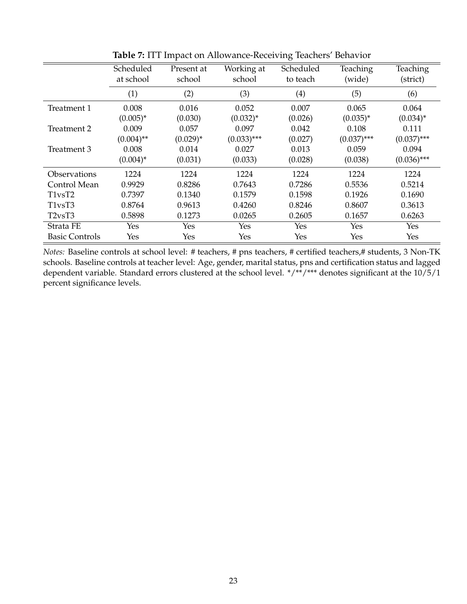<span id="page-23-0"></span>

|                       | Scheduled<br>at school | Present at<br>school | Working at<br>school | Scheduled<br>to teach | Teaching<br>(wide) | Teaching<br>(strict) |
|-----------------------|------------------------|----------------------|----------------------|-----------------------|--------------------|----------------------|
|                       | (1)                    | (2)                  | (3)                  | (4)                   | (5)                | (6)                  |
| Treatment 1           | 0.008                  | 0.016                | 0.052                | 0.007                 | 0.065              | 0.064                |
|                       | $(0.005)^*$            | (0.030)              | $(0.032)^{*}$        | (0.026)               | $(0.035)^*$        | $(0.034)^{*}$        |
| Treatment 2           | 0.009                  | 0.057                | 0.097                | 0.042                 | 0.108              | 0.111                |
|                       | $(0.004)$ **           | $(0.029)^*$          | $(0.033)$ ***        | (0.027)               | $(0.037)$ ***      | $(0.037)$ ***        |
| Treatment 3           | 0.008                  | 0.014                | 0.027                | 0.013                 | 0.059              | 0.094                |
|                       | $(0.004)^*$            | (0.031)              | (0.033)              | (0.028)               | (0.038)            | $(0.036)$ ***        |
| Observations          | 1224                   | 1224                 | 1224                 | 1224                  | 1224               | 1224                 |
| Control Mean          | 0.9929                 | 0.8286               | 0.7643               | 0.7286                | 0.5536             | 0.5214               |
| T1vsT2                | 0.7397                 | 0.1340               | 0.1579               | 0.1598                | 0.1926             | 0.1690               |
| T1vsT3                | 0.8764                 | 0.9613               | 0.4260               | 0.8246                | 0.8607             | 0.3613               |
| T2vsT3                | 0.5898                 | 0.1273               | 0.0265               | 0.2605                | 0.1657             | 0.6263               |
| Strata FE             | Yes                    | Yes                  | Yes                  | Yes                   | Yes                | Yes                  |
| <b>Basic Controls</b> | Yes                    | Yes                  | Yes                  | Yes                   | Yes                | Yes                  |

**Table 7:** ITT Impact on Allowance-Receiving Teachers' Behavior

*Notes:* Baseline controls at school level: # teachers, # pns teachers, # certified teachers,# students, 3 Non-TK schools. Baseline controls at teacher level: Age, gender, marital status, pns and certification status and lagged dependent variable. Standard errors clustered at the school level. \*/\*\*/\*\*\* denotes significant at the 10/5/1 percent significance levels.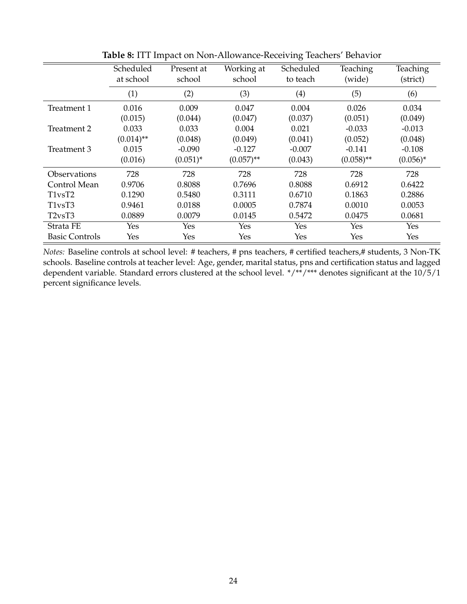<span id="page-24-0"></span>

|                       | Scheduled<br>at school | Present at<br>school | Working at<br>school | Scheduled<br>to teach | Teaching<br>(wide) | Teaching<br>(strict) |
|-----------------------|------------------------|----------------------|----------------------|-----------------------|--------------------|----------------------|
|                       | (1)                    | (2)                  | (3)                  | (4)                   | (5)                | (6)                  |
| Treatment 1           | 0.016                  | 0.009                | 0.047                | 0.004                 | 0.026              | 0.034                |
|                       | (0.015)                | (0.044)              | (0.047)              | (0.037)               | (0.051)            | (0.049)              |
| Treatment 2           | 0.033                  | 0.033                | 0.004                | 0.021                 | $-0.033$           | $-0.013$             |
|                       | $(0.014)$ **           | (0.048)              | (0.049)              | (0.041)               | (0.052)            | (0.048)              |
| Treatment 3           | 0.015                  | $-0.090$             | $-0.127$             | $-0.007$              | $-0.141$           | $-0.108$             |
|                       | (0.016)                | $(0.051)^{*}$        | $(0.057)$ **         | (0.043)               | $(0.058)$ **       | $(0.056)^*$          |
| Observations          | 728                    | 728                  | 728                  | 728                   | 728                | 728                  |
| Control Mean          | 0.9706                 | 0.8088               | 0.7696               | 0.8088                | 0.6912             | 0.6422               |
| T1vsT2                | 0.1290                 | 0.5480               | 0.3111               | 0.6710                | 0.1863             | 0.2886               |
| T1vsT3                | 0.9461                 | 0.0188               | 0.0005               | 0.7874                | 0.0010             | 0.0053               |
| T2vsT3                | 0.0889                 | 0.0079               | 0.0145               | 0.5472                | 0.0475             | 0.0681               |
| Strata FE             | Yes                    | Yes                  | Yes                  | Yes                   | Yes                | Yes                  |
| <b>Basic Controls</b> | Yes                    | Yes                  | Yes                  | Yes                   | <b>Yes</b>         | Yes                  |

**Table 8:** ITT Impact on Non-Allowance-Receiving Teachers' Behavior

*Notes:* Baseline controls at school level: # teachers, # pns teachers, # certified teachers,# students, 3 Non-TK schools. Baseline controls at teacher level: Age, gender, marital status, pns and certification status and lagged dependent variable. Standard errors clustered at the school level. \*/\*\*/\*\*\* denotes significant at the 10/5/1 percent significance levels.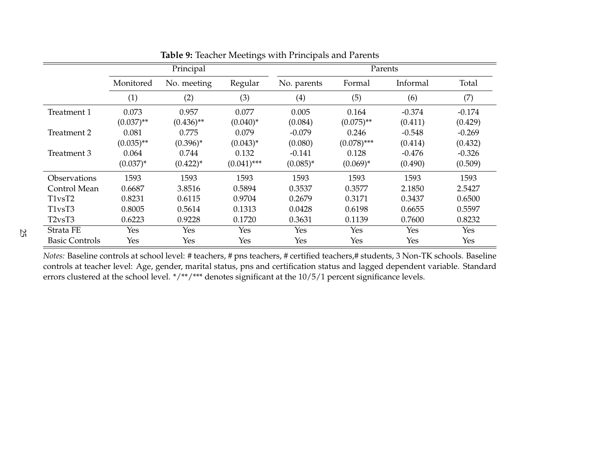|                                              |               | Principal    |               |             |               | Parents  |          |
|----------------------------------------------|---------------|--------------|---------------|-------------|---------------|----------|----------|
|                                              | Monitored     | No. meeting  | Regular       | No. parents | Formal        | Informal | Total    |
|                                              | (1)           | (2)          | (3)           | (4)         | (5)           | (6)      | (7)      |
| Treatment 1                                  | 0.073         | 0.957        | 0.077         | 0.005       | 0.164         | $-0.374$ | $-0.174$ |
|                                              | $(0.037)$ **  | $(0.436)$ ** | $(0.040)^*$   | (0.084)     | $(0.075)$ **  | (0.411)  | (0.429)  |
| Treatment 2                                  | 0.081         | 0.775        | 0.079         | $-0.079$    | 0.246         | $-0.548$ | $-0.269$ |
|                                              | $(0.035)$ **  | $(0.396)^*$  | $(0.043)^*$   | (0.080)     | $(0.078)$ *** | (0.414)  | (0.432)  |
| Treatment 3                                  | 0.064         | 0.744        | 0.132         | $-0.141$    | 0.128         | $-0.476$ | $-0.326$ |
|                                              | $(0.037)^{*}$ | $(0.422)^*$  | $(0.041)$ *** | $(0.085)^*$ | $(0.069)^*$   | (0.490)  | (0.509)  |
| Observations                                 | 1593          | 1593         | 1593          | 1593        | 1593          | 1593     | 1593     |
| Control Mean                                 | 0.6687        | 3.8516       | 0.5894        | 0.3537      | 0.3577        | 2.1850   | 2.5427   |
| T <sub>1vs</sub> T <sub>2</sub>              | 0.8231        | 0.6115       | 0.9704        | 0.2679      | 0.3171        | 0.3437   | 0.6500   |
| T <sub>1</sub> v <sub>s</sub> T <sub>3</sub> | 0.8005        | 0.5614       | 0.1313        | 0.0428      | 0.6198        | 0.6655   | 0.5597   |
| T <sub>2vs</sub> T <sub>3</sub>              | 0.6223        | 0.9228       | 0.1720        | 0.3631      | 0.1139        | 0.7600   | 0.8232   |
| Strata FE                                    | Yes           | Yes          | Yes           | Yes         | Yes           | Yes      | Yes      |
| <b>Basic Controls</b>                        | Yes           | Yes          | Yes           | Yes         | Yes           | Yes      | Yes      |

<span id="page-25-0"></span>**Table 9:** Teacher Meetings with Principals and Parents

*Notes:* Baseline controls at school level: # teachers, # pns teachers, # certified teachers,# students, 3 Non-TK schools. Baseline controls at teacher level: Age, gender, marital status, pns and certification status and lagged dependent variable. Standarderrors clustered at the school level. \*/\*\*/\*\*\* denotes significant at the 10/5/1 percent significance levels.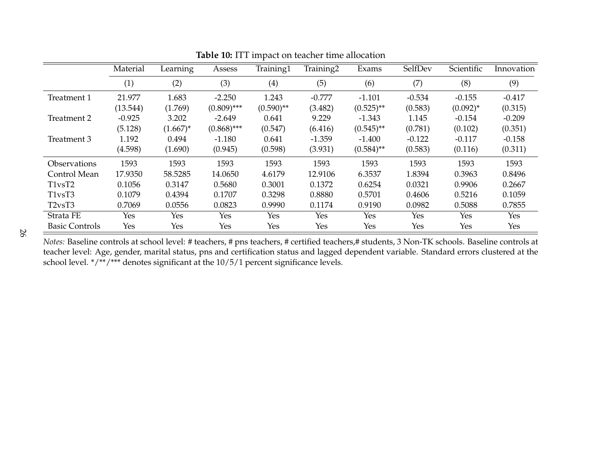|                                 | Material   | Learning    | Assess        | Training1    | Training2 | Exams        | SelfDev  | Scientific  | Innovation |
|---------------------------------|------------|-------------|---------------|--------------|-----------|--------------|----------|-------------|------------|
|                                 | (1)        | (2)         | (3)           | (4)          | (5)       | (6)          | (7)      | (8)         | (9)        |
| Treatment 1                     | 21.977     | 1.683       | $-2.250$      | 1.243        | $-0.777$  | $-1.101$     | $-0.534$ | $-0.155$    | $-0.417$   |
|                                 | (13.544)   | (1.769)     | $(0.809)$ *** | $(0.590)$ ** | (3.482)   | $(0.525)$ ** | (0.583)  | $(0.092)^*$ | (0.315)    |
| Treatment 2                     | $-0.925$   | 3.202       | $-2.649$      | 0.641        | 9.229     | $-1.343$     | 1.145    | $-0.154$    | $-0.209$   |
|                                 | (5.128)    | $(1.667)^*$ | $(0.868)$ *** | (0.547)      | (6.416)   | $(0.545)$ ** | (0.781)  | (0.102)     | (0.351)    |
| Treatment 3                     | 1.192      | 0.494       | $-1.180$      | 0.641        | $-1.359$  | $-1.400$     | $-0.122$ | $-0.117$    | $-0.158$   |
|                                 | (4.598)    | (1.690)     | (0.945)       | (0.598)      | (3.931)   | $(0.584)$ ** | (0.583)  | (0.116)     | (0.311)    |
| Observations                    | 1593       | 1593        | 1593          | 1593         | 1593      | 1593         | 1593     | 1593        | 1593       |
| Control Mean                    | 17.9350    | 58.5285     | 14.0650       | 4.6179       | 12.9106   | 6.3537       | 1.8394   | 0.3963      | 0.8496     |
| T <sub>1vs</sub> T <sub>2</sub> | 0.1056     | 0.3147      | 0.5680        | 0.3001       | 0.1372    | 0.6254       | 0.0321   | 0.9906      | 0.2667     |
| T <sub>1vs</sub> T <sub>3</sub> | 0.1079     | 0.4394      | 0.1707        | 0.3298       | 0.8880    | 0.5701       | 0.4606   | 0.5216      | 0.1059     |
| T <sub>2vs</sub> T <sub>3</sub> | 0.7069     | 0.0556      | 0.0823        | 0.9990       | 0.1174    | 0.9190       | 0.0982   | 0.5088      | 0.7855     |
| Strata FE                       | <b>Yes</b> | Yes         | Yes           | Yes          | Yes       | Yes          | Yes      | Yes         | Yes        |
| <b>Basic Controls</b>           | Yes        | Yes         | Yes           | Yes          | Yes       | Yes          | Yes      | Yes         | Yes        |

<span id="page-26-0"></span>**Table 10:** ITT impact on teacher time allocation

*Notes:* Baseline controls at school level: # teachers, # pns teachers, # certified teachers,# students, 3 Non-TK schools. Baseline controls at teacher level: Age, gender, marital status, pns and certification status and lagged dependent variable. Standard errors clustered at theschool level.  $*/**$ /\*\*/\*\*\* denotes significant at the 10/5/1 percent significance levels.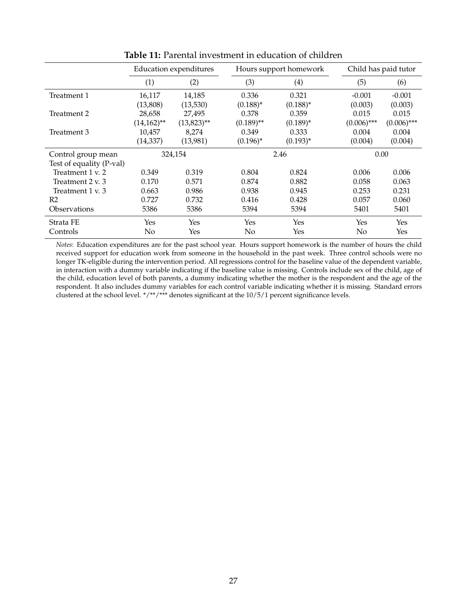<span id="page-27-0"></span>

|                            |               | <b>Education expenditures</b> |              | Hours support homework | Child has paid tutor |               |  |
|----------------------------|---------------|-------------------------------|--------------|------------------------|----------------------|---------------|--|
|                            | (1)           | (2)                           | (3)          | $\left( 4\right)$      | (5)                  | (6)           |  |
| Treatment 1                | 16,117        | 14,185                        | 0.336        | 0.321                  | $-0.001$             | $-0.001$      |  |
|                            | (13,808)      | (13,530)                      | $(0.188)^*$  | $(0.188)^*$            | (0.003)              | (0.003)       |  |
| Treatment 2                | 28,658        | 27,495                        | 0.378        | 0.359                  | 0.015                | 0.015         |  |
|                            | $(14,162)$ ** | $(13,823)$ **                 | $(0.189)$ ** | $(0.189)^*$            | $(0.006)$ ***        | $(0.006)$ *** |  |
| Treatment 3                | 10,457        | 8,274                         | 0.349        | 0.333                  | 0.004                | 0.004         |  |
|                            | (14,337)      | (13,981)                      | $(0.196)^*$  | $(0.193)^*$            | (0.004)              | (0.004)       |  |
| Control group mean         |               | 324,154                       |              | 2.46                   | 0.00                 |               |  |
| Test of equality (P-val)   |               |                               |              |                        |                      |               |  |
| Treatment 1 v. 2           | 0.349         | 0.319                         | 0.804        | 0.824                  | 0.006                | 0.006         |  |
| Treatment 2 v. 3           | 0.170         | 0.571                         | 0.874        | 0.882                  | 0.058                | 0.063         |  |
| Treatment 1 v. 3           | 0.663         | 0.986                         | 0.938        | 0.945                  | 0.253                | 0.231         |  |
| R <sub>2</sub>             | 0.727         | 0.732                         | 0.416        | 0.428                  | 0.057                | 0.060         |  |
| <i><b>Observations</b></i> | 5386          | 5386                          | 5394         | 5394                   | 5401                 | 5401          |  |
| Strata FE                  | Yes           | Yes                           | Yes          | Yes                    | Yes                  | Yes           |  |
| Controls                   | No            | Yes                           | No           | Yes                    | No                   | Yes           |  |

**Table 11:** Parental investment in education of children

*Notes*: Education expenditures are for the past school year. Hours support homework is the number of hours the child received support for education work from someone in the household in the past week. Three control schools were no longer TK-eligible during the intervention period. All regressions control for the baseline value of the dependent variable, in interaction with a dummy variable indicating if the baseline value is missing. Controls include sex of the child, age of the child, education level of both parents, a dummy indicating whether the mother is the respondent and the age of the respondent. It also includes dummy variables for each control variable indicating whether it is missing. Standard errors clustered at the school level. \*/\*\*/\*\*\* denotes significant at the 10/5/1 percent significance levels.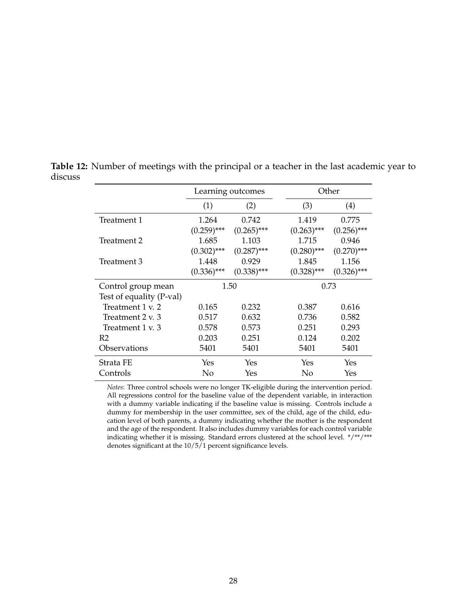|                          |               | Learning outcomes |               | Other         |
|--------------------------|---------------|-------------------|---------------|---------------|
|                          | (1)           | (2)               | (3)           | (4)           |
| Treatment 1              | 1.264         | 0.742             | 1.419         | 0.775         |
|                          | $(0.259)$ *** | $(0.265)$ ***     | $(0.263)$ *** | $(0.256)$ *** |
| Treatment 2              | 1.685         | 1.103             | 1.715         | 0.946         |
|                          | $(0.302)$ *** | $(0.287)$ ***     | $(0.280)$ *** | $(0.270)$ *** |
| Treatment 3              | 1.448         | 0.929             | 1.845         | 1.156         |
|                          | $(0.336)$ *** | $(0.338)$ ***     | $(0.328)$ *** | $(0.326)$ *** |
| Control group mean       |               | 1.50              |               | 0.73          |
| Test of equality (P-val) |               |                   |               |               |
| Treatment 1 v. 2         | 0.165         | 0.232             | 0.387         | 0.616         |
| Treatment 2 v. 3         | 0.517         | 0.632             | 0.736         | 0.582         |
| Treatment 1 v. 3         | 0.578         | 0.573             | 0.251         | 0.293         |
| R <sub>2</sub>           | 0.203         | 0.251             | 0.124         | 0.202         |
| Observations             | 5401          | 5401              | 5401          | 5401          |
| Strata FE                | Yes           | <b>Yes</b>        | Yes           | Yes           |
| Controls                 | No            | Yes               | No            | Yes           |

<span id="page-28-0"></span>**Table 12:** Number of meetings with the principal or a teacher in the last academic year to discuss

> *Notes*: Three control schools were no longer TK-eligible during the intervention period. All regressions control for the baseline value of the dependent variable, in interaction with a dummy variable indicating if the baseline value is missing. Controls include a dummy for membership in the user committee, sex of the child, age of the child, education level of both parents, a dummy indicating whether the mother is the respondent and the age of the respondent. It also includes dummy variables for each control variable indicating whether it is missing. Standard errors clustered at the school level. \*/\*\*/\*\*\* denotes significant at the 10/5/1 percent significance levels.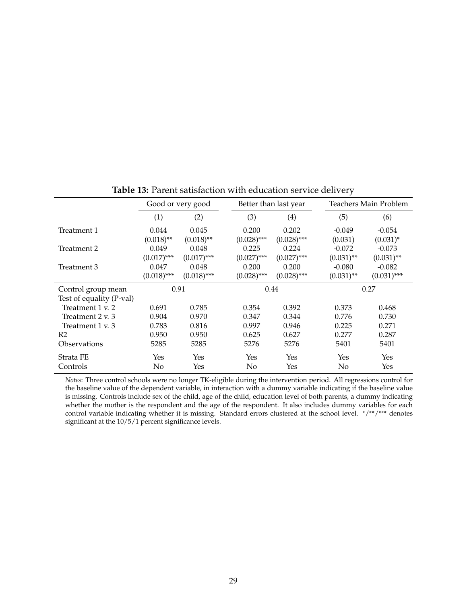<span id="page-29-0"></span>

|                          | Good or very good |               | Better than last year |               |              | Teachers Main Problem |  |  |
|--------------------------|-------------------|---------------|-----------------------|---------------|--------------|-----------------------|--|--|
|                          | (1)               | (2)           | (3)                   | (4)           | (5)          | (6)                   |  |  |
| Treatment 1              | 0.044             | 0.045         | 0.200                 | 0.202         | $-0.049$     | $-0.054$              |  |  |
|                          | $(0.018)$ **      | $(0.018)$ **  | $(0.028)$ ***         | $(0.028)$ *** | (0.031)      | $(0.031)^*$           |  |  |
| Treatment 2              | 0.049             | 0.048         | 0.225                 | 0.224         | $-0.072$     | $-0.073$              |  |  |
|                          | $(0.017)$ ***     | $(0.017)$ *** | $(0.027)$ ***         | $(0.027)$ *** | $(0.031)$ ** | $(0.031)$ **          |  |  |
| Treatment 3              | 0.047             | 0.048         | 0.200                 | 0.200         | $-0.080$     | $-0.082$              |  |  |
|                          | $(0.018)$ ***     | $(0.018)$ *** | $(0.028)$ ***         | $(0.028)$ *** | $(0.031)$ ** | $(0.031)$ ***         |  |  |
| Control group mean       | 0.91              |               |                       | 0.44          |              | 0.27                  |  |  |
| Test of equality (P-val) |                   |               |                       |               |              |                       |  |  |
| Treatment 1 v. 2         | 0.691             | 0.785         | 0.354                 | 0.392         | 0.373        | 0.468                 |  |  |
| Treatment 2 v. 3         | 0.904             | 0.970         | 0.347                 | 0.344         | 0.776        | 0.730                 |  |  |
| Treatment 1 v. 3         | 0.783             | 0.816         | 0.997                 | 0.946         | 0.225        | 0.271                 |  |  |
| R <sub>2</sub>           | 0.950             | 0.950         | 0.625                 | 0.627         | 0.277        | 0.287                 |  |  |
| Observations             | 5285              | 5285          | 5276                  | 5276          | 5401         | 5401                  |  |  |
| Strata FE                | Yes               | Yes           | Yes                   | Yes           | Yes          | Yes                   |  |  |
| Controls                 | No                | Yes           | No                    | Yes           | No           | Yes                   |  |  |

**Table 13:** Parent satisfaction with education service delivery

*Notes*: Three control schools were no longer TK-eligible during the intervention period. All regressions control for the baseline value of the dependent variable, in interaction with a dummy variable indicating if the baseline value is missing. Controls include sex of the child, age of the child, education level of both parents, a dummy indicating whether the mother is the respondent and the age of the respondent. It also includes dummy variables for each control variable indicating whether it is missing. Standard errors clustered at the school level. \*/\*\*/\*\*\* denotes significant at the 10/5/1 percent significance levels.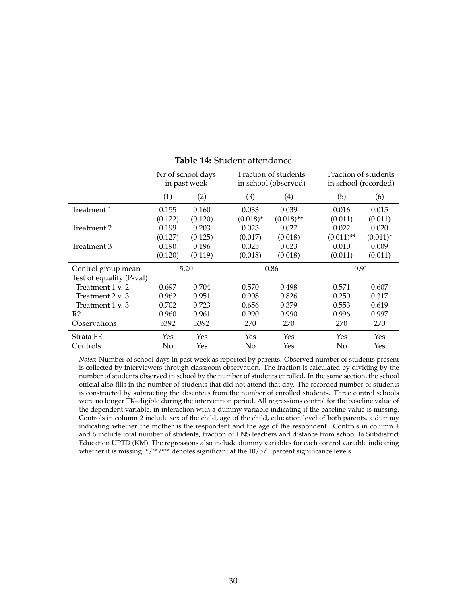<span id="page-30-0"></span>

|                          | Nr of school days<br>in past week |         |             | Fraction of students<br>in school (observed) |  | Fraction of students<br>in school (recorded) |             |  |
|--------------------------|-----------------------------------|---------|-------------|----------------------------------------------|--|----------------------------------------------|-------------|--|
|                          | (1)                               | (2)     | (3)         | (4)                                          |  | (5)                                          | (6)         |  |
| Treatment 1              | 0.155                             | 0.160   | 0.033       | 0.039                                        |  | 0.016                                        | 0.015       |  |
|                          | (0.122)                           | (0.120) | $(0.018)^*$ | $(0.018)$ **                                 |  | (0.011)                                      | (0.011)     |  |
| Treatment 2              | 0.199                             | 0.203   | 0.023       | 0.027                                        |  | 0.022                                        | 0.020       |  |
|                          | (0.127)                           | (0.125) | (0.017)     | (0.018)                                      |  | $(0.011)$ **                                 | $(0.011)^*$ |  |
| Treatment 3              | 0.190                             | 0.196   | 0.025       | 0.023                                        |  | 0.010                                        | 0.009       |  |
|                          | (0.120)                           | (0.119) | (0.018)     | (0.018)                                      |  | (0.011)                                      | (0.011)     |  |
| Control group mean       | 5.20                              |         |             | 0.86                                         |  | 0.91                                         |             |  |
| Test of equality (P-val) |                                   |         |             |                                              |  |                                              |             |  |
| Treatment 1 v. 2         | 0.697                             | 0.704   | 0.570       | 0.498                                        |  | 0.571                                        | 0.607       |  |
| Treatment 2 v. 3         | 0.962                             | 0.951   | 0.908       | 0.826                                        |  | 0.250                                        | 0.317       |  |
| Treatment 1 v. 3         | 0.702                             | 0.723   | 0.656       | 0.379                                        |  | 0.553                                        | 0.619       |  |
| R <sub>2</sub>           | 0.960                             | 0.961   | 0.990       | 0.990                                        |  | 0.996                                        | 0.997       |  |
| Observations             | 5392                              | 5392    | 270         | 270                                          |  | 270                                          | 270         |  |
| Strata FE                | Yes                               | Yes     | Yes         | Yes                                          |  | Yes                                          | Yes         |  |
| Controls                 | No                                | Yes     | No          | Yes                                          |  | No                                           | Yes         |  |

**Table 14:** Student attendance

*Notes*: Number of school days in past week as reported by parents. Observed number of students present is collected by interviewers through classroom observation. The fraction is calculated by dividing by the number of students observed in school by the number of students enrolled. In the same section, the school official also fills in the number of students that did not attend that day. The recorded number of students is constructed by subtracting the absentees from the number of enrolled students. Three control schools were no longer TK-eligible during the intervention period. All regressions control for the baseline value of the dependent variable, in interaction with a dummy variable indicating if the baseline value is missing. Controls in column 2 include sex of the child, age of the child, education level of both parents, a dummy indicating whether the mother is the respondent and the age of the respondent. Controls in column 4 and 6 include total number of students, fraction of PNS teachers and distance from school to Subdistrict Education UPTD (KM). The regressions also include dummy variables for each control variable indicating whether it is missing. \*/\*\*/\*\*\* denotes significant at the  $10/5/1$  percent significance levels.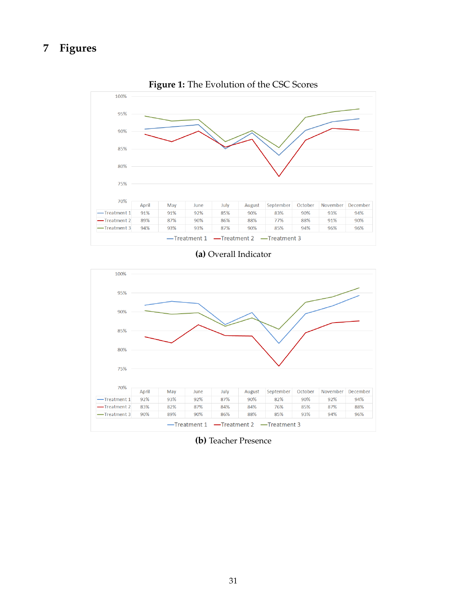# <span id="page-31-0"></span>**7 Figures**



**Figure 1:** The Evolution of the CSC Scores

## **(a)** Overall Indicator



**(b)** Teacher Presence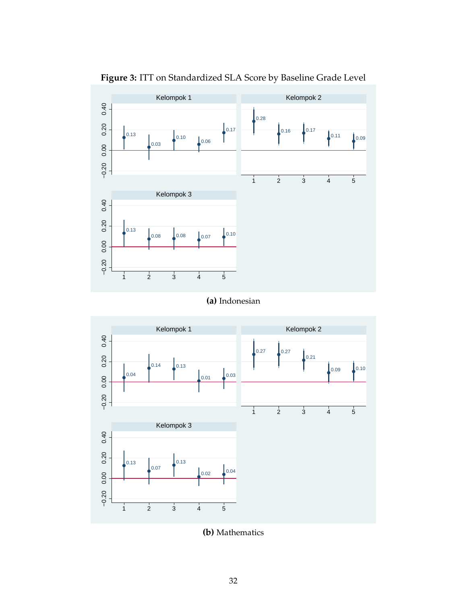<span id="page-32-0"></span>

**Figure 3:** ITT on Standardized SLA Score by Baseline Grade Level

**(a)** Indonesian



**(b)** Mathematics